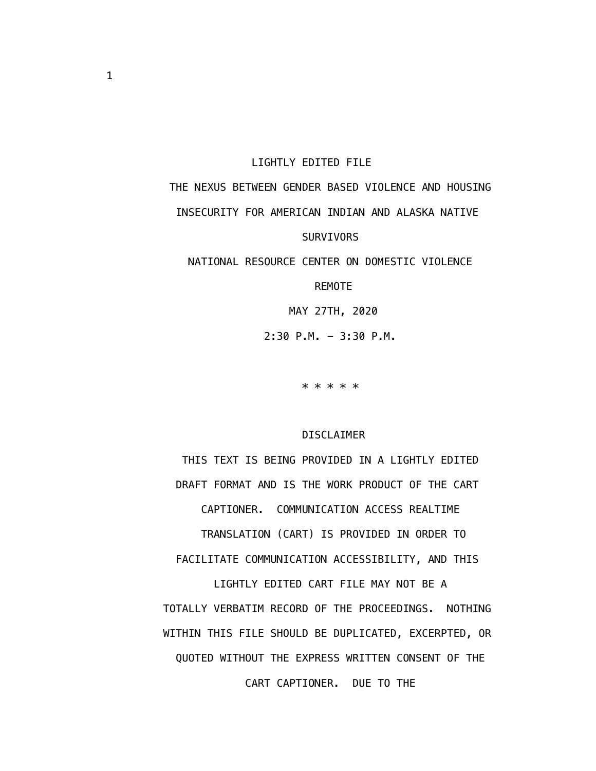#### LIGHTLY EDITED FILE

# THE NEXUS BETWEEN GENDER BASED VIOLENCE AND HOUSING INSECURITY FOR AMERICAN INDIAN AND ALASKA NATIVE SURVIVORS

NATIONAL RESOURCE CENTER ON DOMESTIC VIOLENCE

REMOTE

MAY 27TH, 2020

 $2:30$  P.M.  $-3:30$  P.M.

\* \* \* \* \*

#### DISCLAIMER

 THIS TEXT IS BEING PROVIDED IN A LIGHTLY EDITED DRAFT FORMAT AND IS THE WORK PRODUCT OF THE CART CAPTIONER. COMMUNICATION ACCESS REALTIME TRANSLATION (CART) IS PROVIDED IN ORDER TO FACILITATE COMMUNICATION ACCESSIBILITY, AND THIS LIGHTLY EDITED CART FILE MAY NOT BE A TOTALLY VERBATIM RECORD OF THE PROCEEDINGS. NOTHING WITHIN THIS FILE SHOULD BE DUPLICATED, EXCERPTED, OR QUOTED WITHOUT THE EXPRESS WRITTEN CONSENT OF THE CART CAPTIONER. DUE TO THE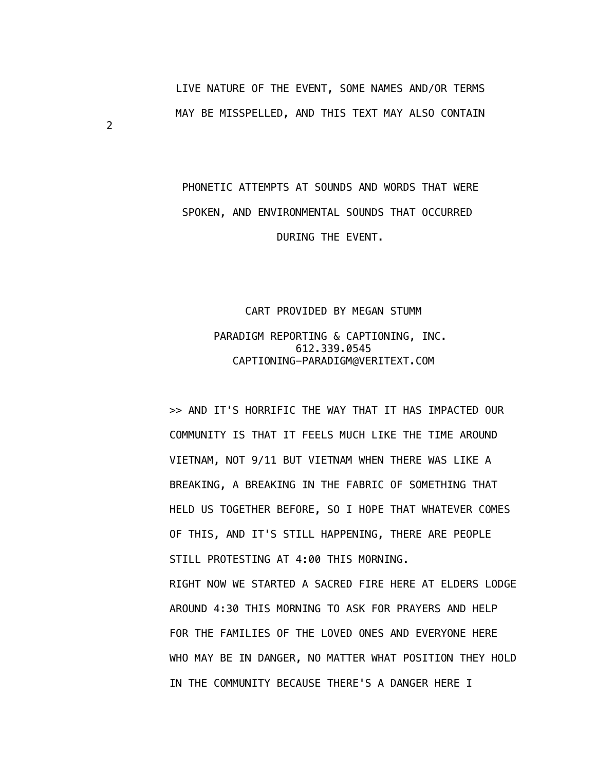LIVE NATURE OF THE EVENT, SOME NAMES AND/OR TERMS MAY BE MISSPELLED, AND THIS TEXT MAY ALSO CONTAIN

## PHONETIC ATTEMPTS AT SOUNDS AND WORDS THAT WERE SPOKEN, AND ENVIRONMENTAL SOUNDS THAT OCCURRED DURING THE EVENT.

### CART PROVIDED BY MEGAN STUMM PARADIGM REPORTING & CAPTIONING, INC. 612.339.0545 CAPTIONING-PARADIGM@VERITEXT.COM

 >> AND IT'S HORRIFIC THE WAY THAT IT HAS IMPACTED OUR COMMUNITY IS THAT IT FEELS MUCH LIKE THE TIME AROUND VIETNAM, NOT 9/11 BUT VIETNAM WHEN THERE WAS LIKE A BREAKING, A BREAKING IN THE FABRIC OF SOMETHING THAT HELD US TOGETHER BEFORE, SO I HOPE THAT WHATEVER COMES OF THIS, AND IT'S STILL HAPPENING, THERE ARE PEOPLE STILL PROTESTING AT 4:00 THIS MORNING. RIGHT NOW WE STARTED A SACRED FIRE HERE AT ELDERS LODGE AROUND 4:30 THIS MORNING TO ASK FOR PRAYERS AND HELP FOR THE FAMILIES OF THE LOVED ONES AND EVERYONE HERE WHO MAY BE IN DANGER, NO MATTER WHAT POSITION THEY HOLD IN THE COMMUNITY BECAUSE THERE'S A DANGER HERE I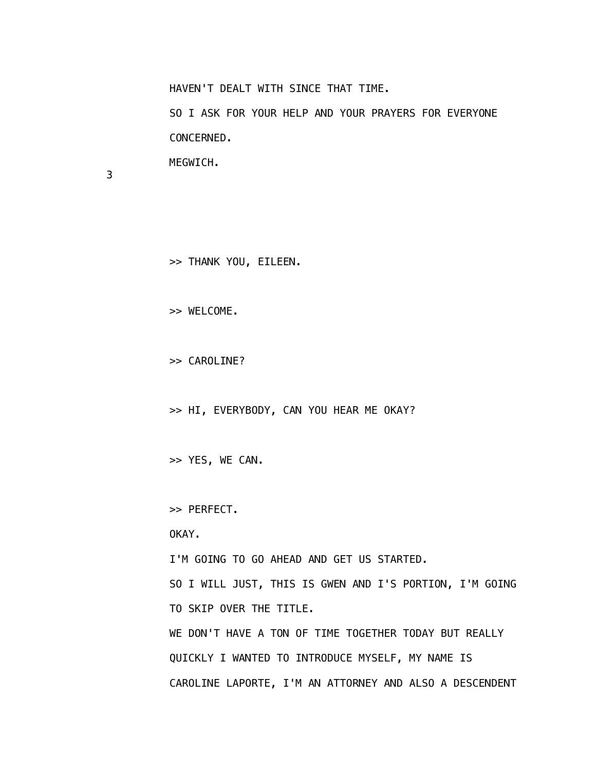HAVEN'T DEALT WITH SINCE THAT TIME.

 SO I ASK FOR YOUR HELP AND YOUR PRAYERS FOR EVERYONE CONCERNED.

MEGWICH.

3

>> THANK YOU, EILEEN.

>> WELCOME.

>> CAROLINE?

>> HI, EVERYBODY, CAN YOU HEAR ME OKAY?

>> YES, WE CAN.

>> PERFECT.

OKAY.

I'M GOING TO GO AHEAD AND GET US STARTED.

 SO I WILL JUST, THIS IS GWEN AND I'S PORTION, I'M GOING TO SKIP OVER THE TITLE.

 WE DON'T HAVE A TON OF TIME TOGETHER TODAY BUT REALLY QUICKLY I WANTED TO INTRODUCE MYSELF, MY NAME IS CAROLINE LAPORTE, I'M AN ATTORNEY AND ALSO A DESCENDENT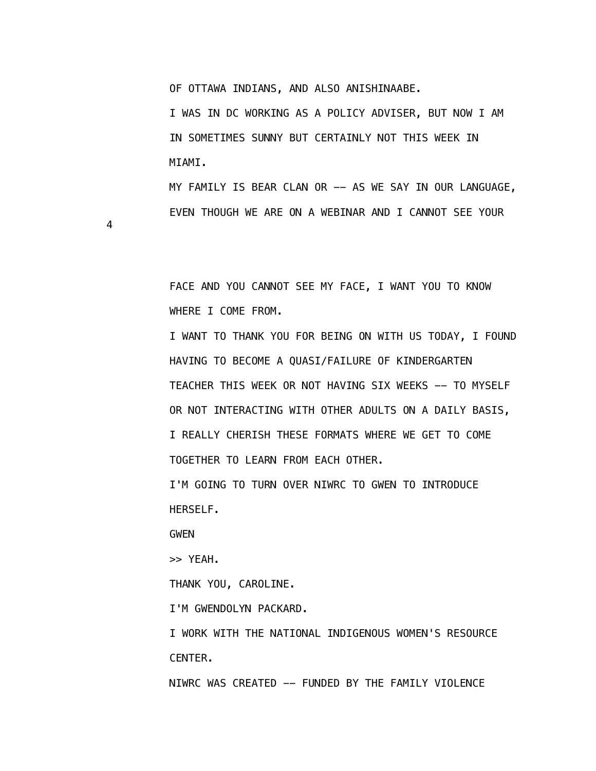OF OTTAWA INDIANS, AND ALSO ANISHINAABE.

 I WAS IN DC WORKING AS A POLICY ADVISER, BUT NOW I AM IN SOMETIMES SUNNY BUT CERTAINLY NOT THIS WEEK IN MIAMI.

 MY FAMILY IS BEAR CLAN OR -- AS WE SAY IN OUR LANGUAGE, EVEN THOUGH WE ARE ON A WEBINAR AND I CANNOT SEE YOUR

4

 FACE AND YOU CANNOT SEE MY FACE, I WANT YOU TO KNOW WHERE I COME FROM.

 I WANT TO THANK YOU FOR BEING ON WITH US TODAY, I FOUND HAVING TO BECOME A QUASI/FAILURE OF KINDERGARTEN TEACHER THIS WEEK OR NOT HAVING SIX WEEKS -- TO MYSELF OR NOT INTERACTING WITH OTHER ADULTS ON A DAILY BASIS, I REALLY CHERISH THESE FORMATS WHERE WE GET TO COME TOGETHER TO LEARN FROM EACH OTHER.

 I'M GOING TO TURN OVER NIWRC TO GWEN TO INTRODUCE HERSELF.

GWEN

>> YEAH.

THANK YOU, CAROLINE.

I'M GWENDOLYN PACKARD.

 I WORK WITH THE NATIONAL INDIGENOUS WOMEN'S RESOURCE CENTER.

NIWRC WAS CREATED -- FUNDED BY THE FAMILY VIOLENCE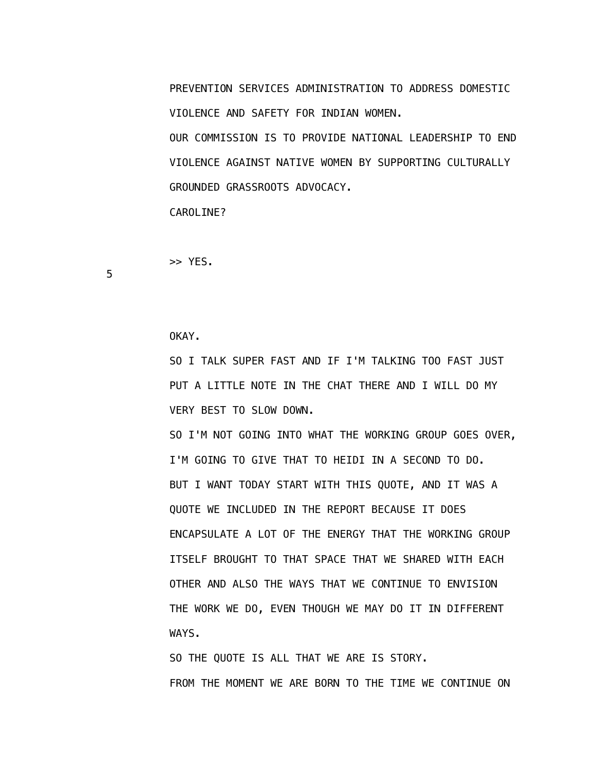PREVENTION SERVICES ADMINISTRATION TO ADDRESS DOMESTIC VIOLENCE AND SAFETY FOR INDIAN WOMEN.

 OUR COMMISSION IS TO PROVIDE NATIONAL LEADERSHIP TO END VIOLENCE AGAINST NATIVE WOMEN BY SUPPORTING CULTURALLY GROUNDED GRASSROOTS ADVOCACY.

CAROLINE?

>> YES.

5

OKAY.

 SO I TALK SUPER FAST AND IF I'M TALKING TOO FAST JUST PUT A LITTLE NOTE IN THE CHAT THERE AND I WILL DO MY VERY BEST TO SLOW DOWN.

 SO I'M NOT GOING INTO WHAT THE WORKING GROUP GOES OVER, I'M GOING TO GIVE THAT TO HEIDI IN A SECOND TO DO. BUT I WANT TODAY START WITH THIS QUOTE, AND IT WAS A QUOTE WE INCLUDED IN THE REPORT BECAUSE IT DOES ENCAPSULATE A LOT OF THE ENERGY THAT THE WORKING GROUP ITSELF BROUGHT TO THAT SPACE THAT WE SHARED WITH EACH OTHER AND ALSO THE WAYS THAT WE CONTINUE TO ENVISION THE WORK WE DO, EVEN THOUGH WE MAY DO IT IN DIFFERENT WAYS.

 SO THE QUOTE IS ALL THAT WE ARE IS STORY. FROM THE MOMENT WE ARE BORN TO THE TIME WE CONTINUE ON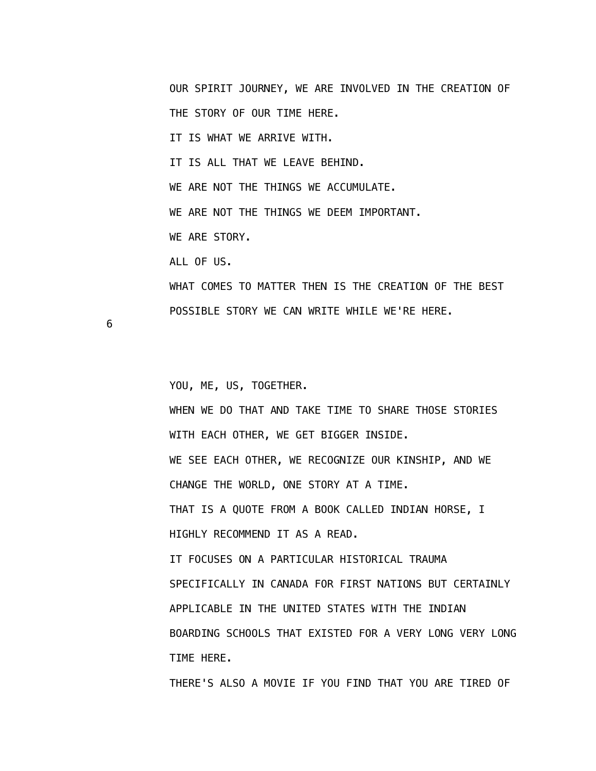OUR SPIRIT JOURNEY, WE ARE INVOLVED IN THE CREATION OF THE STORY OF OUR TIME HERE. IT IS WHAT WE ARRIVE WITH. IT IS ALL THAT WE LEAVE BEHIND. WE ARE NOT THE THINGS WE ACCUMULATE. WE ARE NOT THE THINGS WE DEEM IMPORTANT. WE ARE STORY. ALL OF US. WHAT COMES TO MATTER THEN IS THE CREATION OF THE BEST POSSIBLE STORY WE CAN WRITE WHILE WE'RE HERE.

6

 YOU, ME, US, TOGETHER. WHEN WE DO THAT AND TAKE TIME TO SHARE THOSE STORIES WITH EACH OTHER, WE GET BIGGER INSIDE. WE SEE EACH OTHER, WE RECOGNIZE OUR KINSHIP, AND WE CHANGE THE WORLD, ONE STORY AT A TIME. THAT IS A QUOTE FROM A BOOK CALLED INDIAN HORSE, I HIGHLY RECOMMEND IT AS A READ. IT FOCUSES ON A PARTICULAR HISTORICAL TRAUMA SPECIFICALLY IN CANADA FOR FIRST NATIONS BUT CERTAINLY APPLICABLE IN THE UNITED STATES WITH THE INDIAN BOARDING SCHOOLS THAT EXISTED FOR A VERY LONG VERY LONG TIME HERE. THERE'S ALSO A MOVIE IF YOU FIND THAT YOU ARE TIRED OF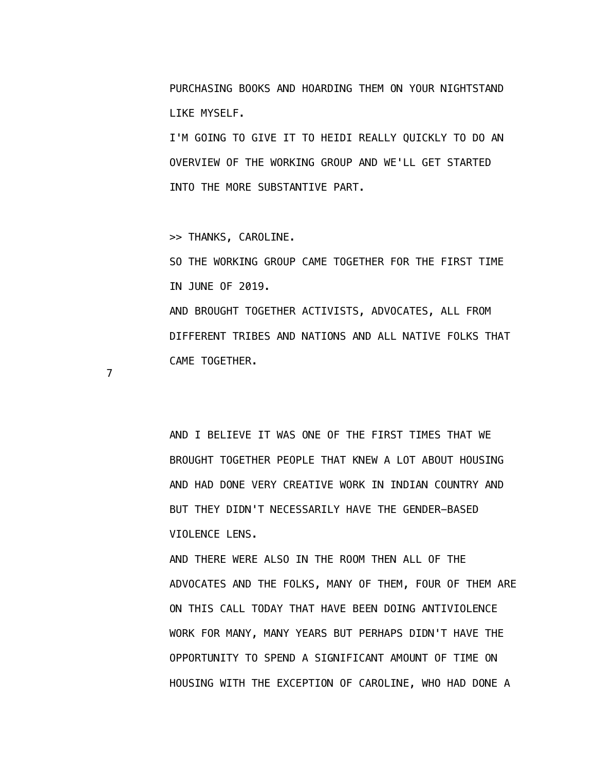PURCHASING BOOKS AND HOARDING THEM ON YOUR NIGHTSTAND LIKE MYSELF.

 I'M GOING TO GIVE IT TO HEIDI REALLY QUICKLY TO DO AN OVERVIEW OF THE WORKING GROUP AND WE'LL GET STARTED INTO THE MORE SUBSTANTIVE PART.

>> THANKS, CAROLINE.

CAME TOGETHER.

 SO THE WORKING GROUP CAME TOGETHER FOR THE FIRST TIME IN JUNE OF 2019. AND BROUGHT TOGETHER ACTIVISTS, ADVOCATES, ALL FROM DIFFERENT TRIBES AND NATIONS AND ALL NATIVE FOLKS THAT

7

 AND I BELIEVE IT WAS ONE OF THE FIRST TIMES THAT WE BROUGHT TOGETHER PEOPLE THAT KNEW A LOT ABOUT HOUSING AND HAD DONE VERY CREATIVE WORK IN INDIAN COUNTRY AND BUT THEY DIDN'T NECESSARILY HAVE THE GENDER-BASED VIOLENCE LENS.

 AND THERE WERE ALSO IN THE ROOM THEN ALL OF THE ADVOCATES AND THE FOLKS, MANY OF THEM, FOUR OF THEM ARE ON THIS CALL TODAY THAT HAVE BEEN DOING ANTIVIOLENCE WORK FOR MANY, MANY YEARS BUT PERHAPS DIDN'T HAVE THE OPPORTUNITY TO SPEND A SIGNIFICANT AMOUNT OF TIME ON HOUSING WITH THE EXCEPTION OF CAROLINE, WHO HAD DONE A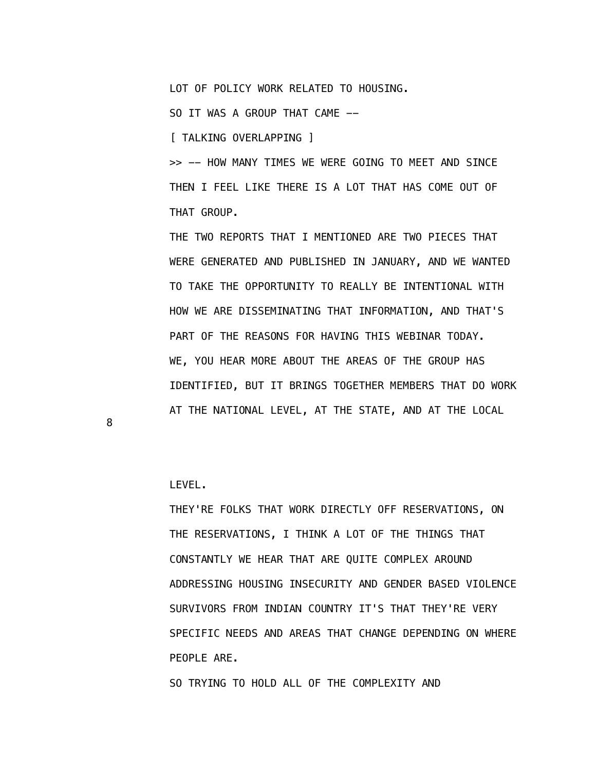SO TRYING TO HOLD ALL OF THE COMPLEXITY AND

 LEVEL. THEY'RE FOLKS THAT WORK DIRECTLY OFF RESERVATIONS, ON THE RESERVATIONS, I THINK A LOT OF THE THINGS THAT CONSTANTLY WE HEAR THAT ARE QUITE COMPLEX AROUND ADDRESSING HOUSING INSECURITY AND GENDER BASED VIOLENCE SURVIVORS FROM INDIAN COUNTRY IT'S THAT THEY'RE VERY SPECIFIC NEEDS AND AREAS THAT CHANGE DEPENDING ON WHERE PEOPLE ARE.

8

 THAT GROUP. THE TWO REPORTS THAT I MENTIONED ARE TWO PIECES THAT WERE GENERATED AND PUBLISHED IN JANUARY, AND WE WANTED TO TAKE THE OPPORTUNITY TO REALLY BE INTENTIONAL WITH HOW WE ARE DISSEMINATING THAT INFORMATION, AND THAT'S PART OF THE REASONS FOR HAVING THIS WEBINAR TODAY. WE, YOU HEAR MORE ABOUT THE AREAS OF THE GROUP HAS IDENTIFIED, BUT IT BRINGS TOGETHER MEMBERS THAT DO WORK AT THE NATIONAL LEVEL, AT THE STATE, AND AT THE LOCAL

>> -- HOW MANY TIMES WE WERE GOING TO MEET AND SINCE THEN I FEEL LIKE THERE IS A LOT THAT HAS COME OUT OF

LOT OF POLICY WORK RELATED TO HOUSING.

SO IT WAS A GROUP THAT CAME --

[ TALKING OVERLAPPING ]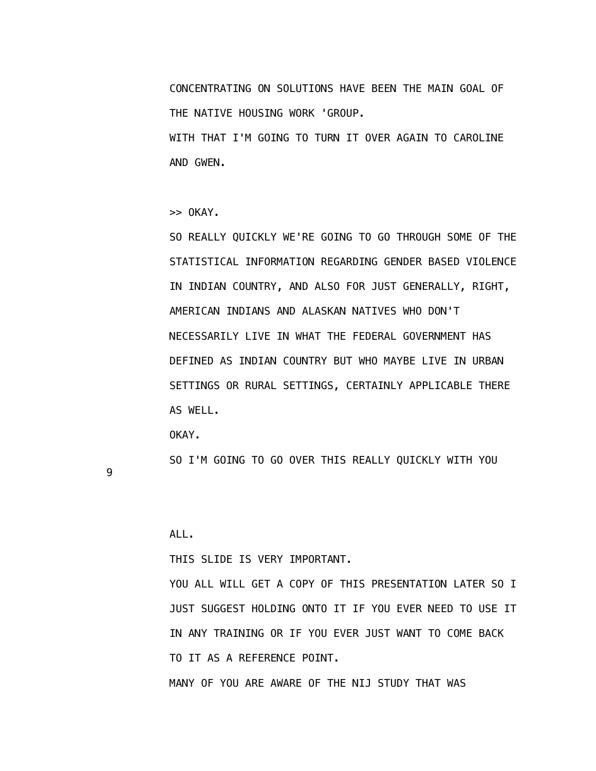CONCENTRATING ON SOLUTIONS HAVE BEEN THE MAIN GOAL OF THE NATIVE HOUSING WORK 'GROUP.

 WITH THAT I'M GOING TO TURN IT OVER AGAIN TO CAROLINE AND GWEN.

>> OKAY.

 SO REALLY QUICKLY WE'RE GOING TO GO THROUGH SOME OF THE STATISTICAL INFORMATION REGARDING GENDER BASED VIOLENCE IN INDIAN COUNTRY, AND ALSO FOR JUST GENERALLY, RIGHT, AMERICAN INDIANS AND ALASKAN NATIVES WHO DON'T NECESSARILY LIVE IN WHAT THE FEDERAL GOVERNMENT HAS DEFINED AS INDIAN COUNTRY BUT WHO MAYBE LIVE IN URBAN SETTINGS OR RURAL SETTINGS, CERTAINLY APPLICABLE THERE AS WELL.

OKAY.

SO I'M GOING TO GO OVER THIS REALLY QUICKLY WITH YOU

9

ALL.

THIS SLIDE IS VERY IMPORTANT.

YOU ALL WILL GET A COPY OF THIS PRESENTATION LATER SO I JUST SUGGEST HOLDING ONTO IT IF YOU EVER NEED TO USE IT IN ANY TRAINING OR IF YOU EVER JUST WANT TO COME BACK TO IT AS A REFERENCE POINT. MANY OF YOU ARE AWARE OF THE NIJ STUDY THAT WAS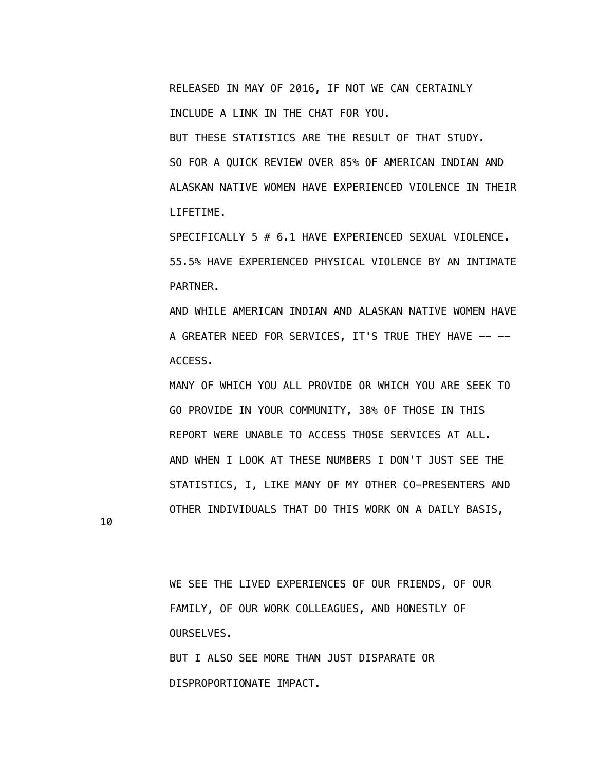RELEASED IN MAY OF 2016, IF NOT WE CAN CERTAINLY INCLUDE A LINK IN THE CHAT FOR YOU.

 BUT THESE STATISTICS ARE THE RESULT OF THAT STUDY. SO FOR A QUICK REVIEW OVER 85% OF AMERICAN INDIAN AND ALASKAN NATIVE WOMEN HAVE EXPERIENCED VIOLENCE IN THEIR LIFETIME.

 SPECIFICALLY 5 # 6.1 HAVE EXPERIENCED SEXUAL VIOLENCE. 55.5% HAVE EXPERIENCED PHYSICAL VIOLENCE BY AN INTIMATE PARTNER.

 AND WHILE AMERICAN INDIAN AND ALASKAN NATIVE WOMEN HAVE A GREATER NEED FOR SERVICES, IT'S TRUE THEY HAVE -- --ACCESS.

 MANY OF WHICH YOU ALL PROVIDE OR WHICH YOU ARE SEEK TO GO PROVIDE IN YOUR COMMUNITY, 38% OF THOSE IN THIS REPORT WERE UNABLE TO ACCESS THOSE SERVICES AT ALL. AND WHEN I LOOK AT THESE NUMBERS I DON'T JUST SEE THE STATISTICS, I, LIKE MANY OF MY OTHER CO-PRESENTERS AND OTHER INDIVIDUALS THAT DO THIS WORK ON A DAILY BASIS,

10

 WE SEE THE LIVED EXPERIENCES OF OUR FRIENDS, OF OUR FAMILY, OF OUR WORK COLLEAGUES, AND HONESTLY OF OURSELVES. BUT I ALSO SEE MORE THAN JUST DISPARATE OR

DISPROPORTIONATE IMPACT.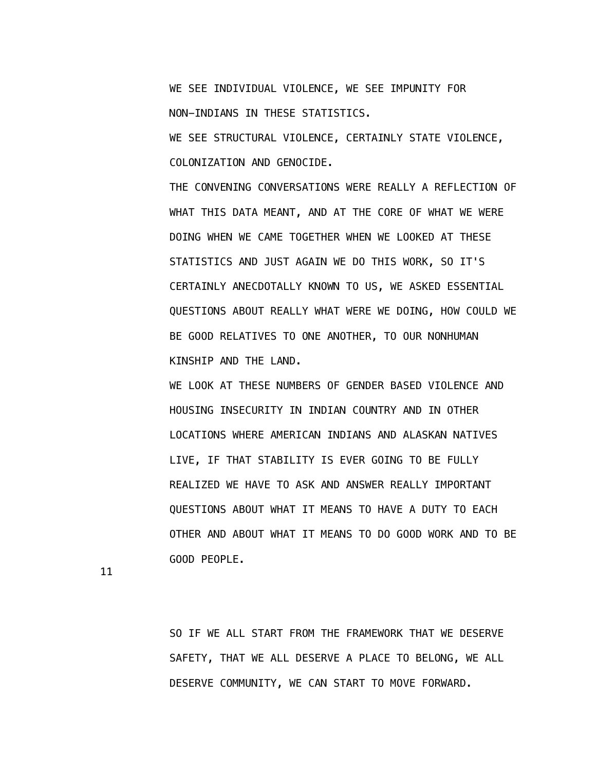WE SEE INDIVIDUAL VIOLENCE, WE SEE IMPUNITY FOR NON-INDIANS IN THESE STATISTICS.

 WE SEE STRUCTURAL VIOLENCE, CERTAINLY STATE VIOLENCE, COLONIZATION AND GENOCIDE.

 THE CONVENING CONVERSATIONS WERE REALLY A REFLECTION OF WHAT THIS DATA MEANT, AND AT THE CORE OF WHAT WE WERE DOING WHEN WE CAME TOGETHER WHEN WE LOOKED AT THESE STATISTICS AND JUST AGAIN WE DO THIS WORK, SO IT'S CERTAINLY ANECDOTALLY KNOWN TO US, WE ASKED ESSENTIAL QUESTIONS ABOUT REALLY WHAT WERE WE DOING, HOW COULD WE BE GOOD RELATIVES TO ONE ANOTHER, TO OUR NONHUMAN KINSHIP AND THE LAND.

 WE LOOK AT THESE NUMBERS OF GENDER BASED VIOLENCE AND HOUSING INSECURITY IN INDIAN COUNTRY AND IN OTHER LOCATIONS WHERE AMERICAN INDIANS AND ALASKAN NATIVES LIVE, IF THAT STABILITY IS EVER GOING TO BE FULLY REALIZED WE HAVE TO ASK AND ANSWER REALLY IMPORTANT QUESTIONS ABOUT WHAT IT MEANS TO HAVE A DUTY TO EACH OTHER AND ABOUT WHAT IT MEANS TO DO GOOD WORK AND TO BE GOOD PEOPLE.

11

 SO IF WE ALL START FROM THE FRAMEWORK THAT WE DESERVE SAFETY, THAT WE ALL DESERVE A PLACE TO BELONG, WE ALL DESERVE COMMUNITY, WE CAN START TO MOVE FORWARD.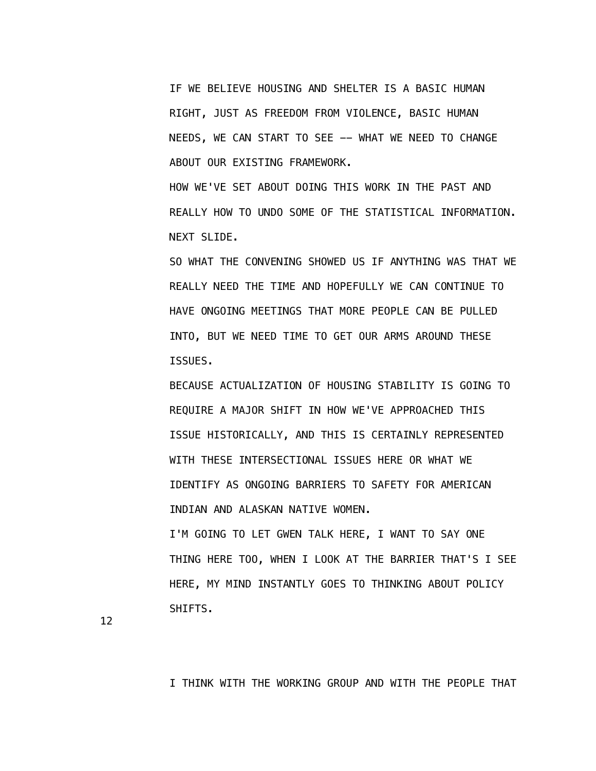IF WE BELIEVE HOUSING AND SHELTER IS A BASIC HUMAN RIGHT, JUST AS FREEDOM FROM VIOLENCE, BASIC HUMAN NEEDS, WE CAN START TO SEE -- WHAT WE NEED TO CHANGE ABOUT OUR EXISTING FRAMEWORK.

 HOW WE'VE SET ABOUT DOING THIS WORK IN THE PAST AND REALLY HOW TO UNDO SOME OF THE STATISTICAL INFORMATION. NEXT SLIDE.

 SO WHAT THE CONVENING SHOWED US IF ANYTHING WAS THAT WE REALLY NEED THE TIME AND HOPEFULLY WE CAN CONTINUE TO HAVE ONGOING MEETINGS THAT MORE PEOPLE CAN BE PULLED INTO, BUT WE NEED TIME TO GET OUR ARMS AROUND THESE ISSUES.

 BECAUSE ACTUALIZATION OF HOUSING STABILITY IS GOING TO REQUIRE A MAJOR SHIFT IN HOW WE'VE APPROACHED THIS ISSUE HISTORICALLY, AND THIS IS CERTAINLY REPRESENTED WITH THESE INTERSECTIONAL ISSUES HERE OR WHAT WE IDENTIFY AS ONGOING BARRIERS TO SAFETY FOR AMERICAN INDIAN AND ALASKAN NATIVE WOMEN.

 I'M GOING TO LET GWEN TALK HERE, I WANT TO SAY ONE THING HERE TOO, WHEN I LOOK AT THE BARRIER THAT'S I SEE HERE, MY MIND INSTANTLY GOES TO THINKING ABOUT POLICY SHIFTS.

12

I THINK WITH THE WORKING GROUP AND WITH THE PEOPLE THAT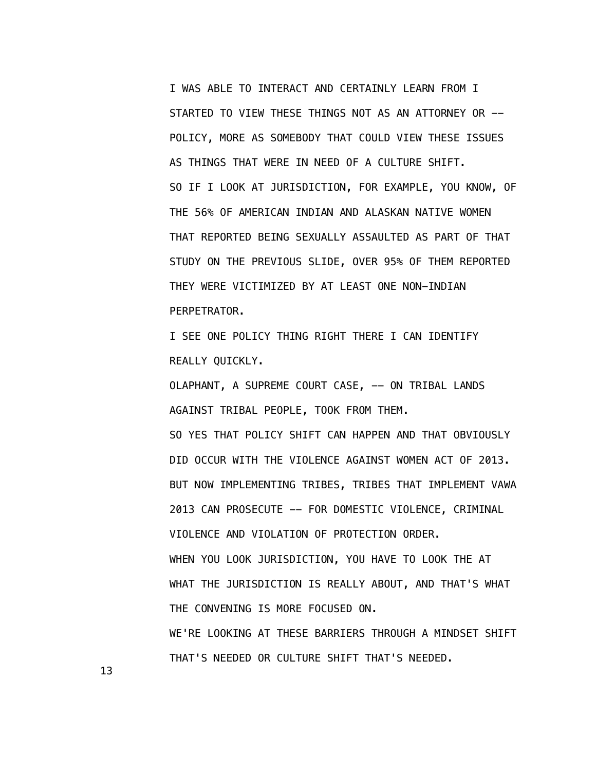I WAS ABLE TO INTERACT AND CERTAINLY LEARN FROM I STARTED TO VIEW THESE THINGS NOT AS AN ATTORNEY OR -- POLICY, MORE AS SOMEBODY THAT COULD VIEW THESE ISSUES AS THINGS THAT WERE IN NEED OF A CULTURE SHIFT. SO IF I LOOK AT JURISDICTION, FOR EXAMPLE, YOU KNOW, OF THE 56% OF AMERICAN INDIAN AND ALASKAN NATIVE WOMEN THAT REPORTED BEING SEXUALLY ASSAULTED AS PART OF THAT STUDY ON THE PREVIOUS SLIDE, OVER 95% OF THEM REPORTED THEY WERE VICTIMIZED BY AT LEAST ONE NON-INDIAN PERPETRATOR.

 I SEE ONE POLICY THING RIGHT THERE I CAN IDENTIFY REALLY QUICKLY.

OLAPHANT, A SUPREME COURT CASE, -- ON TRIBAL LANDS AGAINST TRIBAL PEOPLE, TOOK FROM THEM. SO YES THAT POLICY SHIFT CAN HAPPEN AND THAT OBVIOUSLY DID OCCUR WITH THE VIOLENCE AGAINST WOMEN ACT OF 2013. BUT NOW IMPLEMENTING TRIBES, TRIBES THAT IMPLEMENT VAWA 2013 CAN PROSECUTE -- FOR DOMESTIC VIOLENCE, CRIMINAL VIOLENCE AND VIOLATION OF PROTECTION ORDER. WHEN YOU LOOK JURISDICTION, YOU HAVE TO LOOK THE AT WHAT THE JURISDICTION IS REALLY ABOUT, AND THAT'S WHAT THE CONVENING IS MORE FOCUSED ON. WE'RE LOOKING AT THESE BARRIERS THROUGH A MINDSET SHIFT THAT'S NEEDED OR CULTURE SHIFT THAT'S NEEDED.

13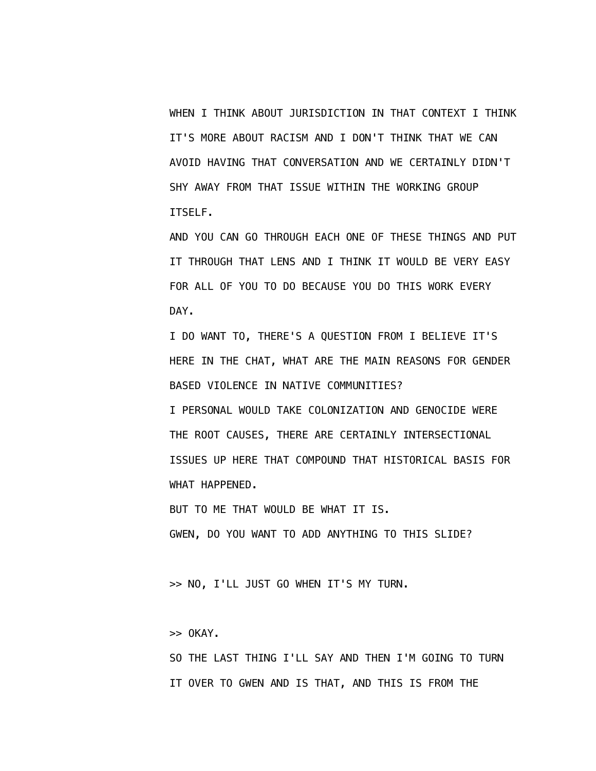WHEN I THINK ABOUT JURISDICTION IN THAT CONTEXT I THINK IT'S MORE ABOUT RACISM AND I DON'T THINK THAT WE CAN AVOID HAVING THAT CONVERSATION AND WE CERTAINLY DIDN'T SHY AWAY FROM THAT ISSUE WITHIN THE WORKING GROUP ITSELF.

 AND YOU CAN GO THROUGH EACH ONE OF THESE THINGS AND PUT IT THROUGH THAT LENS AND I THINK IT WOULD BE VERY EASY FOR ALL OF YOU TO DO BECAUSE YOU DO THIS WORK EVERY DAY.

 I DO WANT TO, THERE'S A QUESTION FROM I BELIEVE IT'S HERE IN THE CHAT, WHAT ARE THE MAIN REASONS FOR GENDER BASED VIOLENCE IN NATIVE COMMUNITIES?

 I PERSONAL WOULD TAKE COLONIZATION AND GENOCIDE WERE THE ROOT CAUSES, THERE ARE CERTAINLY INTERSECTIONAL ISSUES UP HERE THAT COMPOUND THAT HISTORICAL BASIS FOR WHAT HAPPENED.

BUT TO ME THAT WOULD BE WHAT IT IS.

GWEN, DO YOU WANT TO ADD ANYTHING TO THIS SLIDE?

>> NO, I'LL JUST GO WHEN IT'S MY TURN.

>> OKAY.

 SO THE LAST THING I'LL SAY AND THEN I'M GOING TO TURN IT OVER TO GWEN AND IS THAT, AND THIS IS FROM THE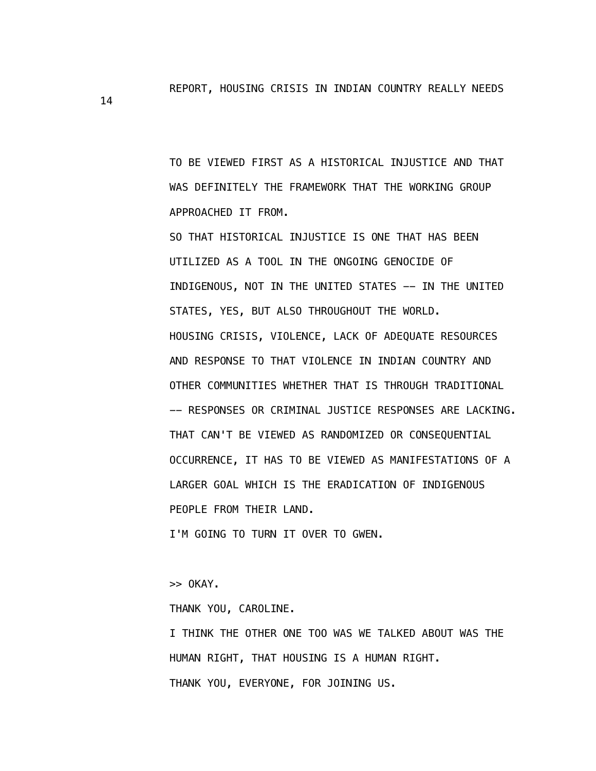REPORT, HOUSING CRISIS IN INDIAN COUNTRY REALLY NEEDS

 TO BE VIEWED FIRST AS A HISTORICAL INJUSTICE AND THAT WAS DEFINITELY THE FRAMEWORK THAT THE WORKING GROUP APPROACHED IT FROM.

 SO THAT HISTORICAL INJUSTICE IS ONE THAT HAS BEEN UTILIZED AS A TOOL IN THE ONGOING GENOCIDE OF INDIGENOUS, NOT IN THE UNITED STATES -- IN THE UNITED STATES, YES, BUT ALSO THROUGHOUT THE WORLD. HOUSING CRISIS, VIOLENCE, LACK OF ADEQUATE RESOURCES AND RESPONSE TO THAT VIOLENCE IN INDIAN COUNTRY AND OTHER COMMUNITIES WHETHER THAT IS THROUGH TRADITIONAL -- RESPONSES OR CRIMINAL JUSTICE RESPONSES ARE LACKING. THAT CAN'T BE VIEWED AS RANDOMIZED OR CONSEQUENTIAL OCCURRENCE, IT HAS TO BE VIEWED AS MANIFESTATIONS OF A LARGER GOAL WHICH IS THE ERADICATION OF INDIGENOUS PEOPLE FROM THEIR LAND.

I'M GOING TO TURN IT OVER TO GWEN.

>> OKAY.

THANK YOU, CAROLINE.

 I THINK THE OTHER ONE TOO WAS WE TALKED ABOUT WAS THE HUMAN RIGHT, THAT HOUSING IS A HUMAN RIGHT. THANK YOU, EVERYONE, FOR JOINING US.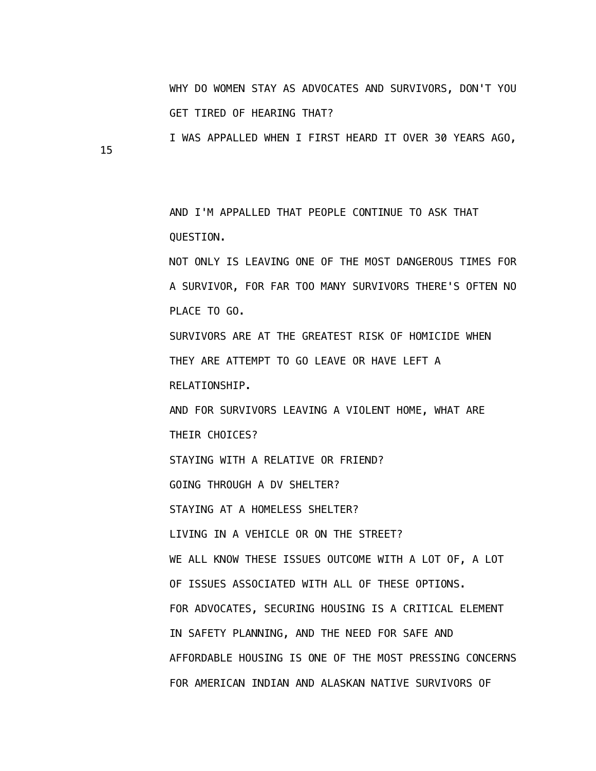WHY DO WOMEN STAY AS ADVOCATES AND SURVIVORS, DON'T YOU GET TIRED OF HEARING THAT?

I WAS APPALLED WHEN I FIRST HEARD IT OVER 30 YEARS AGO,

15

 AND I'M APPALLED THAT PEOPLE CONTINUE TO ASK THAT QUESTION.

 NOT ONLY IS LEAVING ONE OF THE MOST DANGEROUS TIMES FOR A SURVIVOR, FOR FAR TOO MANY SURVIVORS THERE'S OFTEN NO PLACE TO GO.

 SURVIVORS ARE AT THE GREATEST RISK OF HOMICIDE WHEN THEY ARE ATTEMPT TO GO LEAVE OR HAVE LEFT A

RELATIONSHIP.

 AND FOR SURVIVORS LEAVING A VIOLENT HOME, WHAT ARE THEIR CHOICES?

STAYING WITH A RELATIVE OR FRIEND?

GOING THROUGH A DV SHELTER?

STAYING AT A HOMELESS SHELTER?

LIVING IN A VEHICLE OR ON THE STREET?

 WE ALL KNOW THESE ISSUES OUTCOME WITH A LOT OF, A LOT OF ISSUES ASSOCIATED WITH ALL OF THESE OPTIONS. FOR ADVOCATES, SECURING HOUSING IS A CRITICAL ELEMENT IN SAFETY PLANNING, AND THE NEED FOR SAFE AND AFFORDABLE HOUSING IS ONE OF THE MOST PRESSING CONCERNS FOR AMERICAN INDIAN AND ALASKAN NATIVE SURVIVORS OF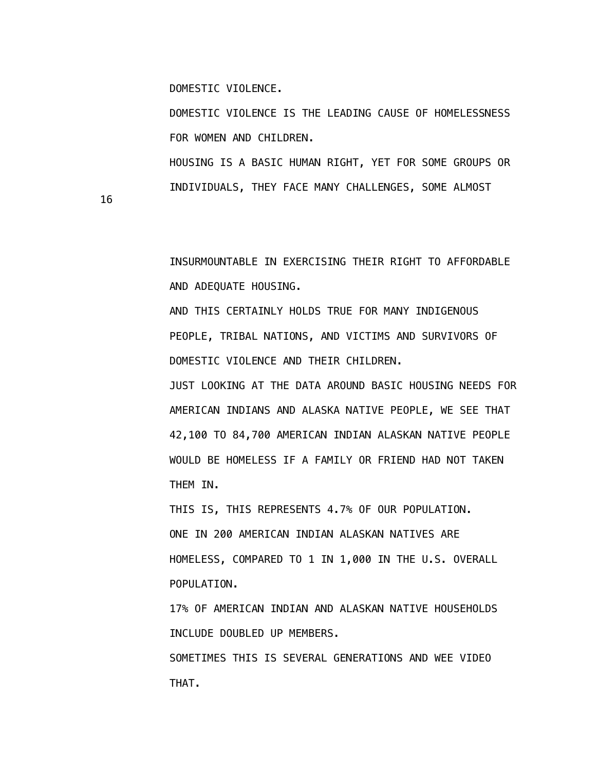DOMESTIC VIOLENCE.

 DOMESTIC VIOLENCE IS THE LEADING CAUSE OF HOMELESSNESS FOR WOMEN AND CHILDREN.

 HOUSING IS A BASIC HUMAN RIGHT, YET FOR SOME GROUPS OR INDIVIDUALS, THEY FACE MANY CHALLENGES, SOME ALMOST

16

 INSURMOUNTABLE IN EXERCISING THEIR RIGHT TO AFFORDABLE AND ADEQUATE HOUSING.

 AND THIS CERTAINLY HOLDS TRUE FOR MANY INDIGENOUS PEOPLE, TRIBAL NATIONS, AND VICTIMS AND SURVIVORS OF DOMESTIC VIOLENCE AND THEIR CHILDREN.

 JUST LOOKING AT THE DATA AROUND BASIC HOUSING NEEDS FOR AMERICAN INDIANS AND ALASKA NATIVE PEOPLE, WE SEE THAT 42,100 TO 84,700 AMERICAN INDIAN ALASKAN NATIVE PEOPLE WOULD BE HOMELESS IF A FAMILY OR FRIEND HAD NOT TAKEN THEM IN.

 THIS IS, THIS REPRESENTS 4.7% OF OUR POPULATION. ONE IN 200 AMERICAN INDIAN ALASKAN NATIVES ARE HOMELESS, COMPARED TO 1 IN 1,000 IN THE U.S. OVERALL POPULATION.

 17% OF AMERICAN INDIAN AND ALASKAN NATIVE HOUSEHOLDS INCLUDE DOUBLED UP MEMBERS.

 SOMETIMES THIS IS SEVERAL GENERATIONS AND WEE VIDEO THAT.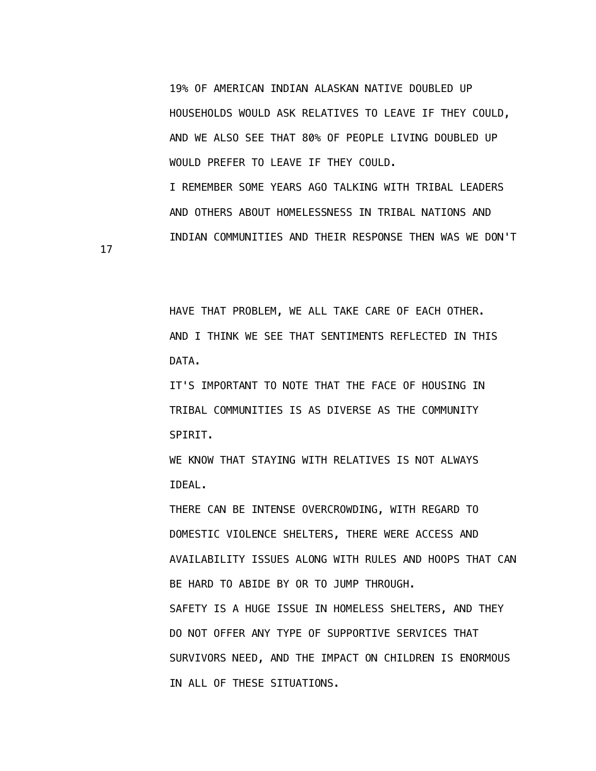19% OF AMERICAN INDIAN ALASKAN NATIVE DOUBLED UP HOUSEHOLDS WOULD ASK RELATIVES TO LEAVE IF THEY COULD, AND WE ALSO SEE THAT 80% OF PEOPLE LIVING DOUBLED UP WOULD PREFER TO LEAVE IF THEY COULD. I REMEMBER SOME YEARS AGO TALKING WITH TRIBAL LEADERS AND OTHERS ABOUT HOMELESSNESS IN TRIBAL NATIONS AND

INDIAN COMMUNITIES AND THEIR RESPONSE THEN WAS WE DON'T

17

 HAVE THAT PROBLEM, WE ALL TAKE CARE OF EACH OTHER. AND I THINK WE SEE THAT SENTIMENTS REFLECTED IN THIS DATA.

 IT'S IMPORTANT TO NOTE THAT THE FACE OF HOUSING IN TRIBAL COMMUNITIES IS AS DIVERSE AS THE COMMUNITY SPIRIT.

 WE KNOW THAT STAYING WITH RELATIVES IS NOT ALWAYS IDEAL.

 THERE CAN BE INTENSE OVERCROWDING, WITH REGARD TO DOMESTIC VIOLENCE SHELTERS, THERE WERE ACCESS AND AVAILABILITY ISSUES ALONG WITH RULES AND HOOPS THAT CAN BE HARD TO ABIDE BY OR TO JUMP THROUGH. SAFETY IS A HUGE ISSUE IN HOMELESS SHELTERS, AND THEY DO NOT OFFER ANY TYPE OF SUPPORTIVE SERVICES THAT SURVIVORS NEED, AND THE IMPACT ON CHILDREN IS ENORMOUS IN ALL OF THESE SITUATIONS.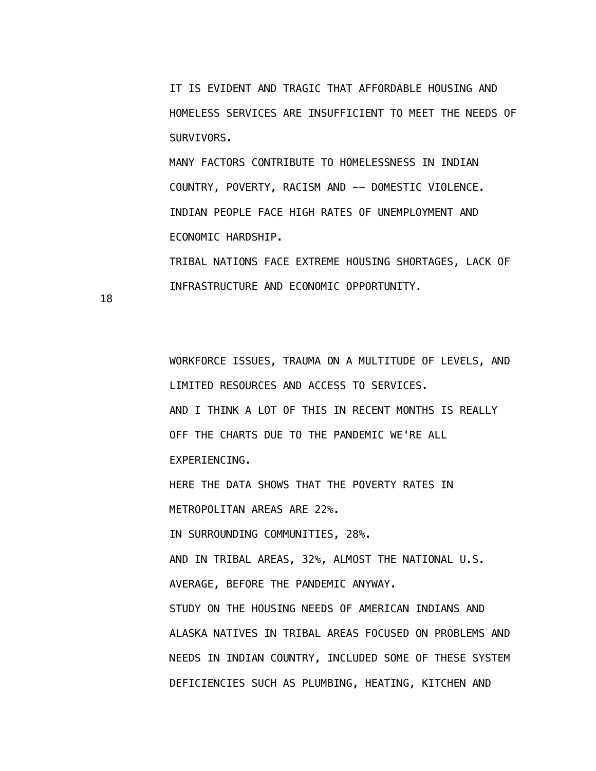IT IS EVIDENT AND TRAGIC THAT AFFORDABLE HOUSING AND HOMELESS SERVICES ARE INSUFFICIENT TO MEET THE NEEDS OF SURVIVORS.

 MANY FACTORS CONTRIBUTE TO HOMELESSNESS IN INDIAN COUNTRY, POVERTY, RACISM AND -- DOMESTIC VIOLENCE. INDIAN PEOPLE FACE HIGH RATES OF UNEMPLOYMENT AND ECONOMIC HARDSHIP.

 TRIBAL NATIONS FACE EXTREME HOUSING SHORTAGES, LACK OF INFRASTRUCTURE AND ECONOMIC OPPORTUNITY.

18

 WORKFORCE ISSUES, TRAUMA ON A MULTITUDE OF LEVELS, AND LIMITED RESOURCES AND ACCESS TO SERVICES. AND I THINK A LOT OF THIS IN RECENT MONTHS IS REALLY OFF THE CHARTS DUE TO THE PANDEMIC WE'RE ALL EXPERIENCING.

 HERE THE DATA SHOWS THAT THE POVERTY RATES IN METROPOLITAN AREAS ARE 22%. IN SURROUNDING COMMUNITIES, 28%. AND IN TRIBAL AREAS, 32%, ALMOST THE NATIONAL U.S. AVERAGE, BEFORE THE PANDEMIC ANYWAY. STUDY ON THE HOUSING NEEDS OF AMERICAN INDIANS AND ALASKA NATIVES IN TRIBAL AREAS FOCUSED ON PROBLEMS AND NEEDS IN INDIAN COUNTRY, INCLUDED SOME OF THESE SYSTEM

DEFICIENCIES SUCH AS PLUMBING, HEATING, KITCHEN AND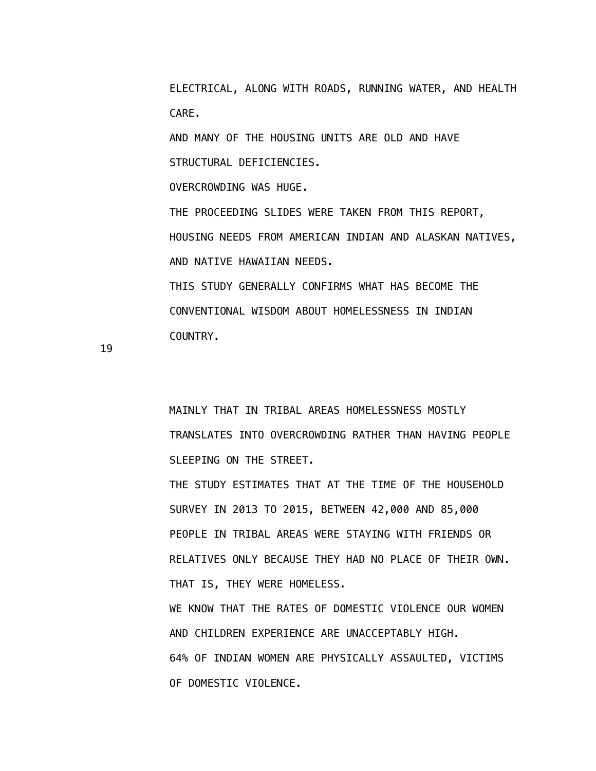ELECTRICAL, ALONG WITH ROADS, RUNNING WATER, AND HEALTH CARE.

 AND MANY OF THE HOUSING UNITS ARE OLD AND HAVE STRUCTURAL DEFICIENCIES.

OVERCROWDING WAS HUGE.

 THE PROCEEDING SLIDES WERE TAKEN FROM THIS REPORT, HOUSING NEEDS FROM AMERICAN INDIAN AND ALASKAN NATIVES, AND NATIVE HAWAIIAN NEEDS.

 THIS STUDY GENERALLY CONFIRMS WHAT HAS BECOME THE CONVENTIONAL WISDOM ABOUT HOMELESSNESS IN INDIAN COUNTRY.

19

 MAINLY THAT IN TRIBAL AREAS HOMELESSNESS MOSTLY TRANSLATES INTO OVERCROWDING RATHER THAN HAVING PEOPLE SLEEPING ON THE STREET.

 THE STUDY ESTIMATES THAT AT THE TIME OF THE HOUSEHOLD SURVEY IN 2013 TO 2015, BETWEEN 42,000 AND 85,000 PEOPLE IN TRIBAL AREAS WERE STAYING WITH FRIENDS OR RELATIVES ONLY BECAUSE THEY HAD NO PLACE OF THEIR OWN. THAT IS, THEY WERE HOMELESS.

 WE KNOW THAT THE RATES OF DOMESTIC VIOLENCE OUR WOMEN AND CHILDREN EXPERIENCE ARE UNACCEPTABLY HIGH. 64% OF INDIAN WOMEN ARE PHYSICALLY ASSAULTED, VICTIMS OF DOMESTIC VIOLENCE.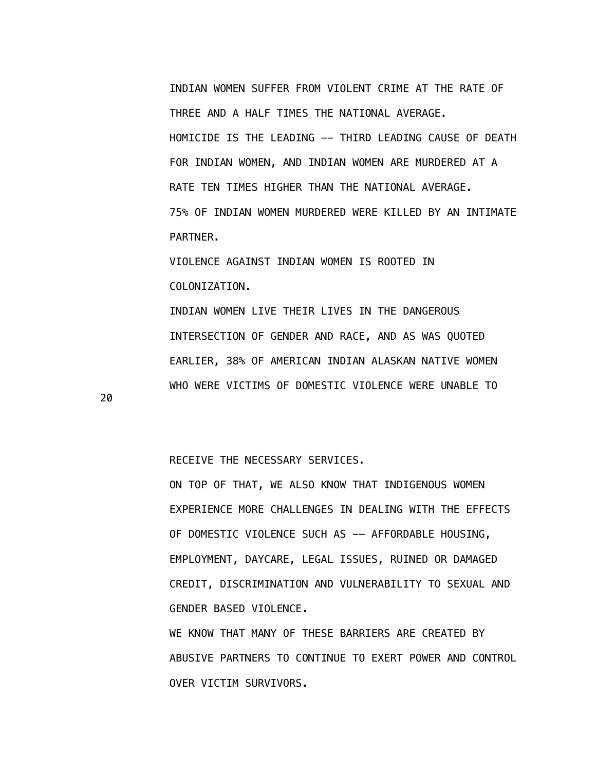INDIAN WOMEN SUFFER FROM VIOLENT CRIME AT THE RATE OF THREE AND A HALF TIMES THE NATIONAL AVERAGE. HOMICIDE IS THE LEADING -- THIRD LEADING CAUSE OF DEATH FOR INDIAN WOMEN, AND INDIAN WOMEN ARE MURDERED AT A RATE TEN TIMES HIGHER THAN THE NATIONAL AVERAGE. 75% OF INDIAN WOMEN MURDERED WERE KILLED BY AN INTIMATE PARTNER.

 VIOLENCE AGAINST INDIAN WOMEN IS ROOTED IN COLONIZATION.

 INDIAN WOMEN LIVE THEIR LIVES IN THE DANGEROUS INTERSECTION OF GENDER AND RACE, AND AS WAS QUOTED EARLIER, 38% OF AMERICAN INDIAN ALASKAN NATIVE WOMEN WHO WERE VICTIMS OF DOMESTIC VIOLENCE WERE UNABLE TO

20

RECEIVE THE NECESSARY SERVICES.

 ON TOP OF THAT, WE ALSO KNOW THAT INDIGENOUS WOMEN EXPERIENCE MORE CHALLENGES IN DEALING WITH THE EFFECTS OF DOMESTIC VIOLENCE SUCH AS -- AFFORDABLE HOUSING, EMPLOYMENT, DAYCARE, LEGAL ISSUES, RUINED OR DAMAGED CREDIT, DISCRIMINATION AND VULNERABILITY TO SEXUAL AND GENDER BASED VIOLENCE.

 WE KNOW THAT MANY OF THESE BARRIERS ARE CREATED BY ABUSIVE PARTNERS TO CONTINUE TO EXERT POWER AND CONTROL OVER VICTIM SURVIVORS.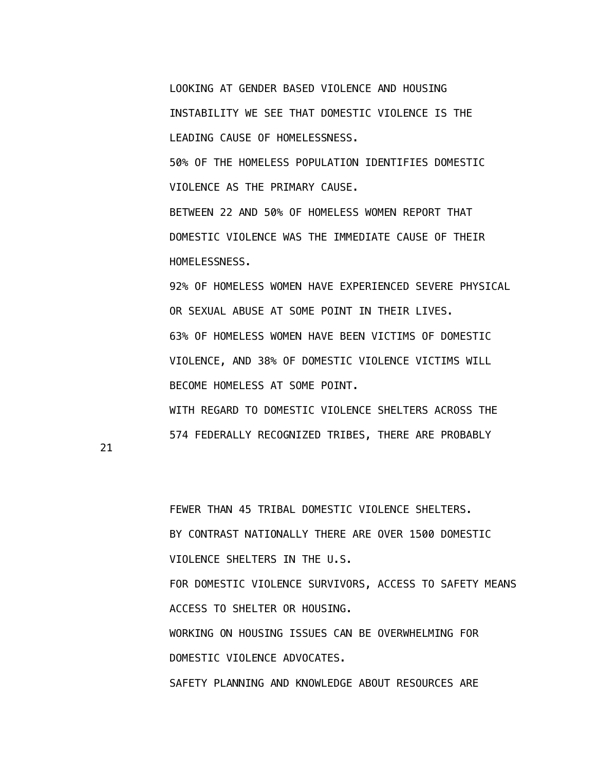LOOKING AT GENDER BASED VIOLENCE AND HOUSING INSTABILITY WE SEE THAT DOMESTIC VIOLENCE IS THE LEADING CAUSE OF HOMELESSNESS. 50% OF THE HOMELESS POPULATION IDENTIFIES DOMESTIC VIOLENCE AS THE PRIMARY CAUSE. BETWEEN 22 AND 50% OF HOMELESS WOMEN REPORT THAT DOMESTIC VIOLENCE WAS THE IMMEDIATE CAUSE OF THEIR HOMELESSNESS. 92% OF HOMELESS WOMEN HAVE EXPERIENCED SEVERE PHYSICAL OR SEXUAL ABUSE AT SOME POINT IN THEIR LIVES.

 63% OF HOMELESS WOMEN HAVE BEEN VICTIMS OF DOMESTIC VIOLENCE, AND 38% OF DOMESTIC VIOLENCE VICTIMS WILL BECOME HOMELESS AT SOME POINT. WITH REGARD TO DOMESTIC VIOLENCE SHELTERS ACROSS THE 574 FEDERALLY RECOGNIZED TRIBES, THERE ARE PROBABLY

21

 FEWER THAN 45 TRIBAL DOMESTIC VIOLENCE SHELTERS. BY CONTRAST NATIONALLY THERE ARE OVER 1500 DOMESTIC VIOLENCE SHELTERS IN THE U.S. FOR DOMESTIC VIOLENCE SURVIVORS, ACCESS TO SAFETY MEANS ACCESS TO SHELTER OR HOUSING. WORKING ON HOUSING ISSUES CAN BE OVERWHELMING FOR DOMESTIC VIOLENCE ADVOCATES. SAFETY PLANNING AND KNOWLEDGE ABOUT RESOURCES ARE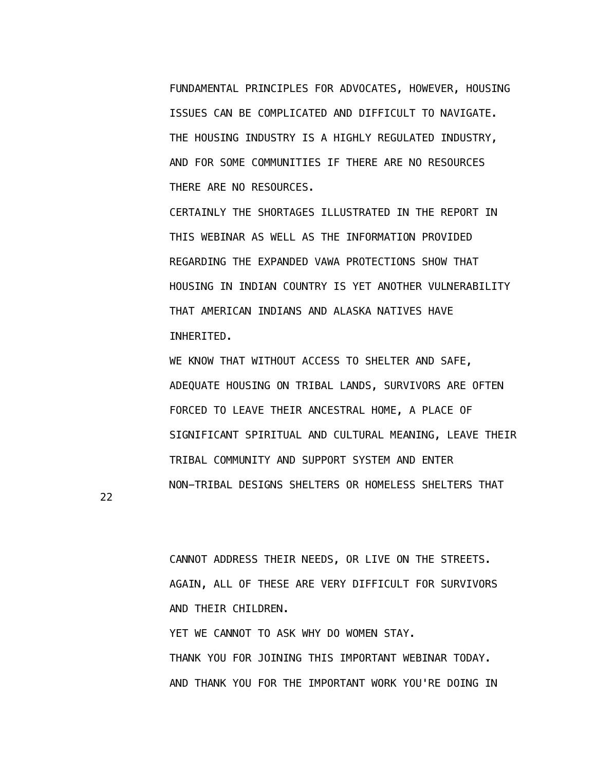FUNDAMENTAL PRINCIPLES FOR ADVOCATES, HOWEVER, HOUSING ISSUES CAN BE COMPLICATED AND DIFFICULT TO NAVIGATE. THE HOUSING INDUSTRY IS A HIGHLY REGULATED INDUSTRY, AND FOR SOME COMMUNITIES IF THERE ARE NO RESOURCES THERE ARE NO RESOURCES.

 CERTAINLY THE SHORTAGES ILLUSTRATED IN THE REPORT IN THIS WEBINAR AS WELL AS THE INFORMATION PROVIDED REGARDING THE EXPANDED VAWA PROTECTIONS SHOW THAT HOUSING IN INDIAN COUNTRY IS YET ANOTHER VULNERABILITY THAT AMERICAN INDIANS AND ALASKA NATIVES HAVE INHERITED.

 WE KNOW THAT WITHOUT ACCESS TO SHELTER AND SAFE, ADEQUATE HOUSING ON TRIBAL LANDS, SURVIVORS ARE OFTEN FORCED TO LEAVE THEIR ANCESTRAL HOME, A PLACE OF SIGNIFICANT SPIRITUAL AND CULTURAL MEANING, LEAVE THEIR TRIBAL COMMUNITY AND SUPPORT SYSTEM AND ENTER NON-TRIBAL DESIGNS SHELTERS OR HOMELESS SHELTERS THAT

22

 CANNOT ADDRESS THEIR NEEDS, OR LIVE ON THE STREETS. AGAIN, ALL OF THESE ARE VERY DIFFICULT FOR SURVIVORS AND THEIR CHILDREN. YET WE CANNOT TO ASK WHY DO WOMEN STAY. THANK YOU FOR JOINING THIS IMPORTANT WEBINAR TODAY. AND THANK YOU FOR THE IMPORTANT WORK YOU'RE DOING IN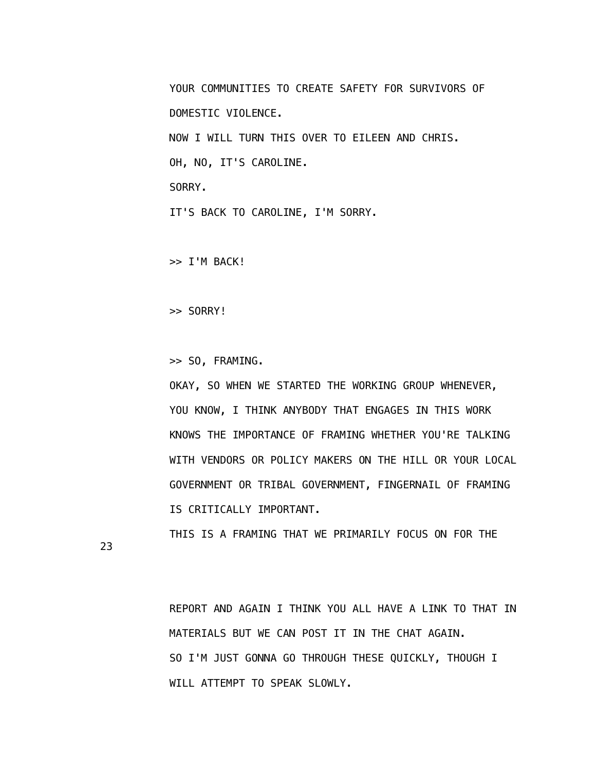YOUR COMMUNITIES TO CREATE SAFETY FOR SURVIVORS OF DOMESTIC VIOLENCE. NOW I WILL TURN THIS OVER TO EILEEN AND CHRIS. OH, NO, IT'S CAROLINE. SORRY. IT'S BACK TO CAROLINE, I'M SORRY.

>> I'M BACK!

>> SORRY!

>> SO, FRAMING.

 OKAY, SO WHEN WE STARTED THE WORKING GROUP WHENEVER, YOU KNOW, I THINK ANYBODY THAT ENGAGES IN THIS WORK KNOWS THE IMPORTANCE OF FRAMING WHETHER YOU'RE TALKING WITH VENDORS OR POLICY MAKERS ON THE HILL OR YOUR LOCAL GOVERNMENT OR TRIBAL GOVERNMENT, FINGERNAIL OF FRAMING IS CRITICALLY IMPORTANT.

THIS IS A FRAMING THAT WE PRIMARILY FOCUS ON FOR THE

23

 REPORT AND AGAIN I THINK YOU ALL HAVE A LINK TO THAT IN MATERIALS BUT WE CAN POST IT IN THE CHAT AGAIN. SO I'M JUST GONNA GO THROUGH THESE QUICKLY, THOUGH I WILL ATTEMPT TO SPEAK SLOWLY.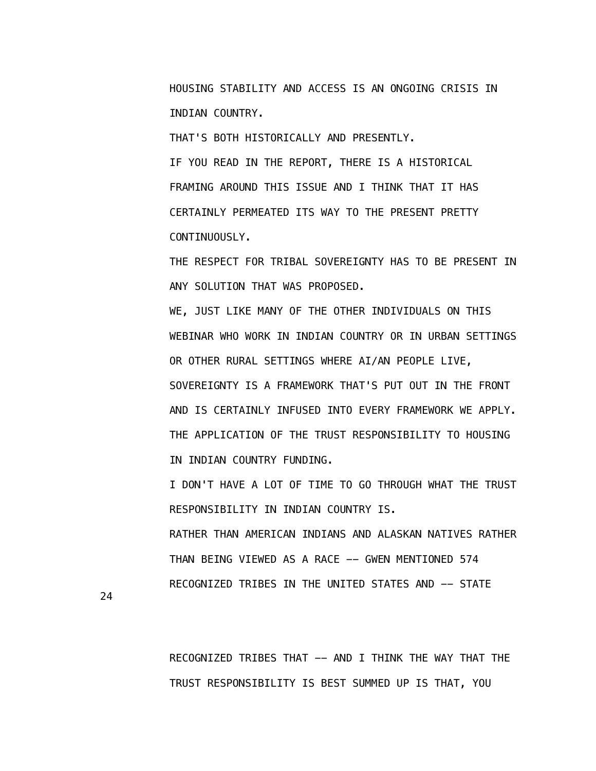HOUSING STABILITY AND ACCESS IS AN ONGOING CRISIS IN INDIAN COUNTRY.

THAT'S BOTH HISTORICALLY AND PRESENTLY.

 IF YOU READ IN THE REPORT, THERE IS A HISTORICAL FRAMING AROUND THIS ISSUE AND I THINK THAT IT HAS CERTAINLY PERMEATED ITS WAY TO THE PRESENT PRETTY CONTINUOUSLY.

 THE RESPECT FOR TRIBAL SOVEREIGNTY HAS TO BE PRESENT IN ANY SOLUTION THAT WAS PROPOSED.

 WE, JUST LIKE MANY OF THE OTHER INDIVIDUALS ON THIS WEBINAR WHO WORK IN INDIAN COUNTRY OR IN URBAN SETTINGS OR OTHER RURAL SETTINGS WHERE AI/AN PEOPLE LIVE, SOVEREIGNTY IS A FRAMEWORK THAT'S PUT OUT IN THE FRONT AND IS CERTAINLY INFUSED INTO EVERY FRAMEWORK WE APPLY. THE APPLICATION OF THE TRUST RESPONSIBILITY TO HOUSING IN INDIAN COUNTRY FUNDING.

 I DON'T HAVE A LOT OF TIME TO GO THROUGH WHAT THE TRUST RESPONSIBILITY IN INDIAN COUNTRY IS.

 RATHER THAN AMERICAN INDIANS AND ALASKAN NATIVES RATHER THAN BEING VIEWED AS A RACE -- GWEN MENTIONED 574 RECOGNIZED TRIBES IN THE UNITED STATES AND -- STATE

24

 RECOGNIZED TRIBES THAT -- AND I THINK THE WAY THAT THE TRUST RESPONSIBILITY IS BEST SUMMED UP IS THAT, YOU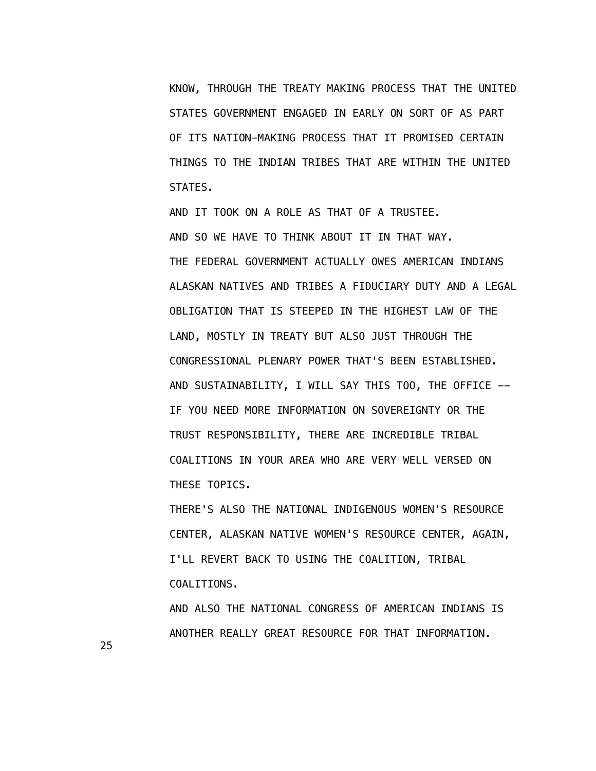KNOW, THROUGH THE TREATY MAKING PROCESS THAT THE UNITED STATES GOVERNMENT ENGAGED IN EARLY ON SORT OF AS PART OF ITS NATION-MAKING PROCESS THAT IT PROMISED CERTAIN THINGS TO THE INDIAN TRIBES THAT ARE WITHIN THE UNITED STATES.

 AND IT TOOK ON A ROLE AS THAT OF A TRUSTEE. AND SO WE HAVE TO THINK ABOUT IT IN THAT WAY. THE FEDERAL GOVERNMENT ACTUALLY OWES AMERICAN INDIANS ALASKAN NATIVES AND TRIBES A FIDUCIARY DUTY AND A LEGAL OBLIGATION THAT IS STEEPED IN THE HIGHEST LAW OF THE LAND, MOSTLY IN TREATY BUT ALSO JUST THROUGH THE CONGRESSIONAL PLENARY POWER THAT'S BEEN ESTABLISHED. AND SUSTAINABILITY, I WILL SAY THIS TOO, THE OFFICE -- IF YOU NEED MORE INFORMATION ON SOVEREIGNTY OR THE TRUST RESPONSIBILITY, THERE ARE INCREDIBLE TRIBAL COALITIONS IN YOUR AREA WHO ARE VERY WELL VERSED ON THESE TOPICS.

 THERE'S ALSO THE NATIONAL INDIGENOUS WOMEN'S RESOURCE CENTER, ALASKAN NATIVE WOMEN'S RESOURCE CENTER, AGAIN, I'LL REVERT BACK TO USING THE COALITION, TRIBAL COALITIONS.

 AND ALSO THE NATIONAL CONGRESS OF AMERICAN INDIANS IS ANOTHER REALLY GREAT RESOURCE FOR THAT INFORMATION.

25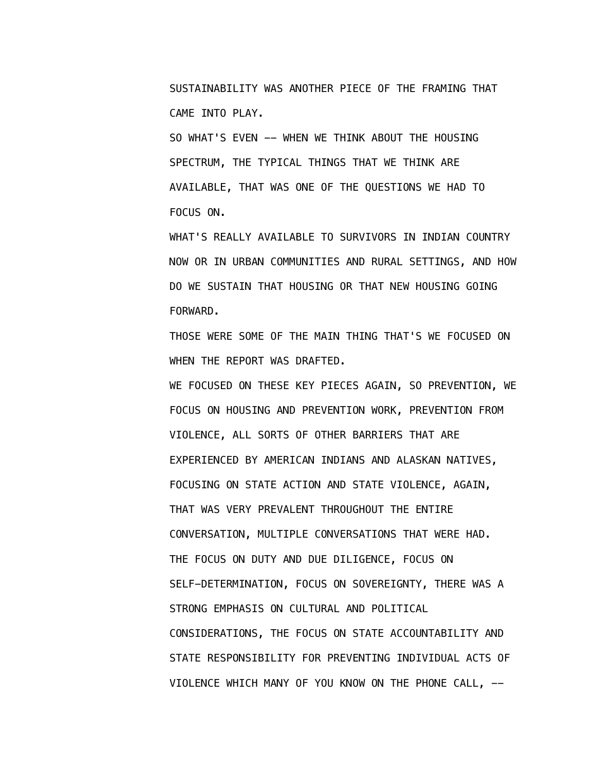SUSTAINABILITY WAS ANOTHER PIECE OF THE FRAMING THAT CAME INTO PLAY.

SO WHAT'S EVEN -- WHEN WE THINK ABOUT THE HOUSING SPECTRUM, THE TYPICAL THINGS THAT WE THINK ARE AVAILABLE, THAT WAS ONE OF THE QUESTIONS WE HAD TO FOCUS ON.

 WHAT'S REALLY AVAILABLE TO SURVIVORS IN INDIAN COUNTRY NOW OR IN URBAN COMMUNITIES AND RURAL SETTINGS, AND HOW DO WE SUSTAIN THAT HOUSING OR THAT NEW HOUSING GOING FORWARD.

 THOSE WERE SOME OF THE MAIN THING THAT'S WE FOCUSED ON WHEN THE REPORT WAS DRAFTED.

 WE FOCUSED ON THESE KEY PIECES AGAIN, SO PREVENTION, WE FOCUS ON HOUSING AND PREVENTION WORK, PREVENTION FROM VIOLENCE, ALL SORTS OF OTHER BARRIERS THAT ARE EXPERIENCED BY AMERICAN INDIANS AND ALASKAN NATIVES, FOCUSING ON STATE ACTION AND STATE VIOLENCE, AGAIN, THAT WAS VERY PREVALENT THROUGHOUT THE ENTIRE CONVERSATION, MULTIPLE CONVERSATIONS THAT WERE HAD. THE FOCUS ON DUTY AND DUE DILIGENCE, FOCUS ON SELF-DETERMINATION, FOCUS ON SOVEREIGNTY, THERE WAS A STRONG EMPHASIS ON CULTURAL AND POLITICAL CONSIDERATIONS, THE FOCUS ON STATE ACCOUNTABILITY AND STATE RESPONSIBILITY FOR PREVENTING INDIVIDUAL ACTS OF VIOLENCE WHICH MANY OF YOU KNOW ON THE PHONE CALL, --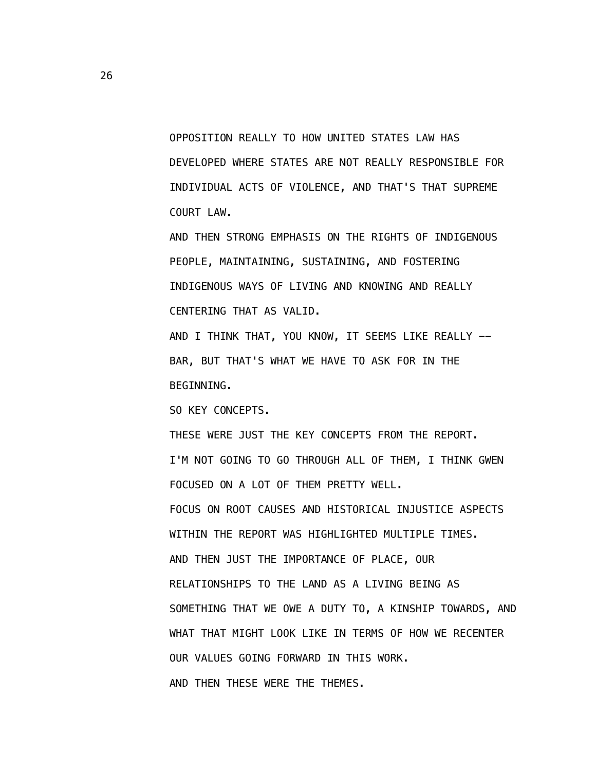OPPOSITION REALLY TO HOW UNITED STATES LAW HAS DEVELOPED WHERE STATES ARE NOT REALLY RESPONSIBLE FOR INDIVIDUAL ACTS OF VIOLENCE, AND THAT'S THAT SUPREME COURT LAW.

 AND THEN STRONG EMPHASIS ON THE RIGHTS OF INDIGENOUS PEOPLE, MAINTAINING, SUSTAINING, AND FOSTERING INDIGENOUS WAYS OF LIVING AND KNOWING AND REALLY CENTERING THAT AS VALID.

AND I THINK THAT, YOU KNOW, IT SEEMS LIKE REALLY -- BAR, BUT THAT'S WHAT WE HAVE TO ASK FOR IN THE BEGINNING.

SO KEY CONCEPTS.

 THESE WERE JUST THE KEY CONCEPTS FROM THE REPORT. I'M NOT GOING TO GO THROUGH ALL OF THEM, I THINK GWEN FOCUSED ON A LOT OF THEM PRETTY WELL. FOCUS ON ROOT CAUSES AND HISTORICAL INJUSTICE ASPECTS WITHIN THE REPORT WAS HIGHLIGHTED MULTIPLE TIMES. AND THEN JUST THE IMPORTANCE OF PLACE, OUR RELATIONSHIPS TO THE LAND AS A LIVING BEING AS SOMETHING THAT WE OWE A DUTY TO, A KINSHIP TOWARDS, AND WHAT THAT MIGHT LOOK LIKE IN TERMS OF HOW WE RECENTER OUR VALUES GOING FORWARD IN THIS WORK. AND THEN THESE WERE THE THEMES.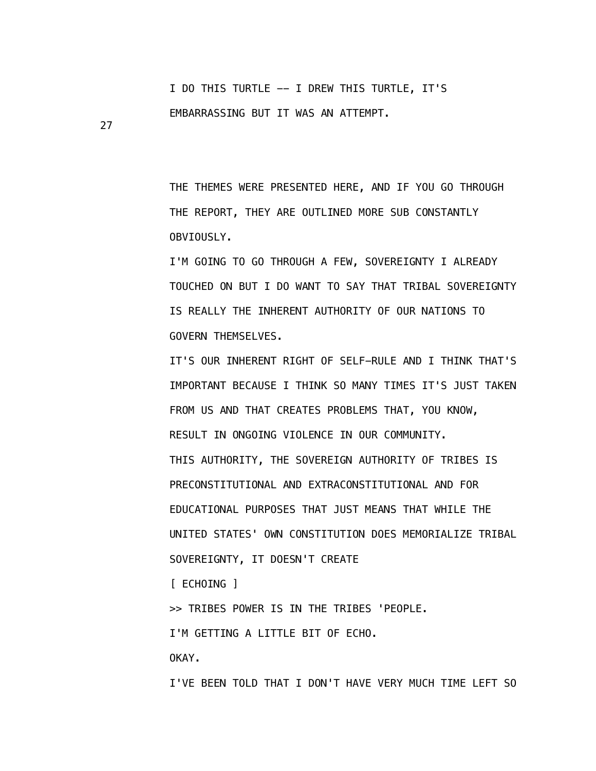I DO THIS TURTLE -- I DREW THIS TURTLE, IT'S EMBARRASSING BUT IT WAS AN ATTEMPT.

 THE THEMES WERE PRESENTED HERE, AND IF YOU GO THROUGH THE REPORT, THEY ARE OUTLINED MORE SUB CONSTANTLY OBVIOUSLY.

 I'M GOING TO GO THROUGH A FEW, SOVEREIGNTY I ALREADY TOUCHED ON BUT I DO WANT TO SAY THAT TRIBAL SOVEREIGNTY IS REALLY THE INHERENT AUTHORITY OF OUR NATIONS TO GOVERN THEMSELVES.

 IT'S OUR INHERENT RIGHT OF SELF-RULE AND I THINK THAT'S IMPORTANT BECAUSE I THINK SO MANY TIMES IT'S JUST TAKEN FROM US AND THAT CREATES PROBLEMS THAT, YOU KNOW, RESULT IN ONGOING VIOLENCE IN OUR COMMUNITY. THIS AUTHORITY, THE SOVEREIGN AUTHORITY OF TRIBES IS PRECONSTITUTIONAL AND EXTRACONSTITUTIONAL AND FOR EDUCATIONAL PURPOSES THAT JUST MEANS THAT WHILE THE UNITED STATES' OWN CONSTITUTION DOES MEMORIALIZE TRIBAL SOVEREIGNTY, IT DOESN'T CREATE

[ ECHOING ]

>> TRIBES POWER IS IN THE TRIBES 'PEOPLE.

I'M GETTING A LITTLE BIT OF ECHO.

OKAY.

27

I'VE BEEN TOLD THAT I DON'T HAVE VERY MUCH TIME LEFT SO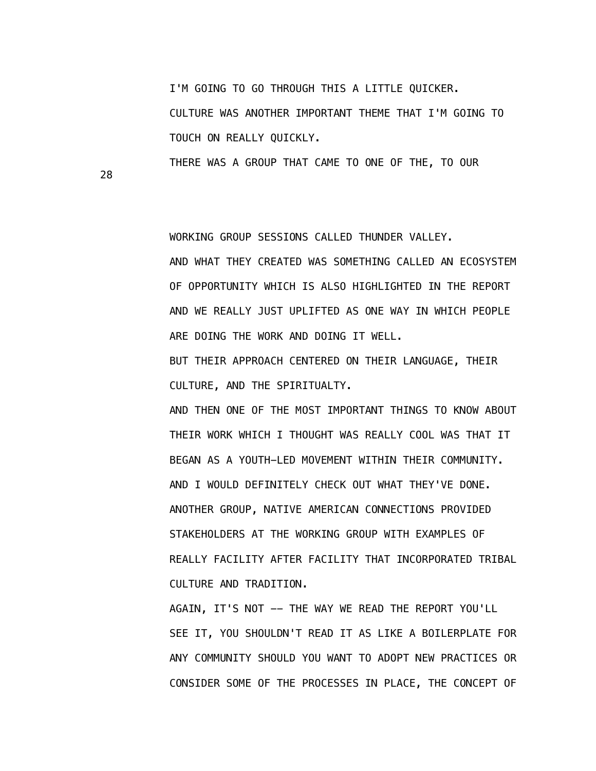I'M GOING TO GO THROUGH THIS A LITTLE QUICKER. CULTURE WAS ANOTHER IMPORTANT THEME THAT I'M GOING TO TOUCH ON REALLY QUICKLY.

THERE WAS A GROUP THAT CAME TO ONE OF THE, TO OUR

28

WORKING GROUP SESSIONS CALLED THUNDER VALLEY.

 AND WHAT THEY CREATED WAS SOMETHING CALLED AN ECOSYSTEM OF OPPORTUNITY WHICH IS ALSO HIGHLIGHTED IN THE REPORT AND WE REALLY JUST UPLIFTED AS ONE WAY IN WHICH PEOPLE ARE DOING THE WORK AND DOING IT WELL.

 BUT THEIR APPROACH CENTERED ON THEIR LANGUAGE, THEIR CULTURE, AND THE SPIRITUALTY.

 AND THEN ONE OF THE MOST IMPORTANT THINGS TO KNOW ABOUT THEIR WORK WHICH I THOUGHT WAS REALLY COOL WAS THAT IT BEGAN AS A YOUTH-LED MOVEMENT WITHIN THEIR COMMUNITY. AND I WOULD DEFINITELY CHECK OUT WHAT THEY'VE DONE. ANOTHER GROUP, NATIVE AMERICAN CONNECTIONS PROVIDED STAKEHOLDERS AT THE WORKING GROUP WITH EXAMPLES OF REALLY FACILITY AFTER FACILITY THAT INCORPORATED TRIBAL CULTURE AND TRADITION.

AGAIN, IT'S NOT -- THE WAY WE READ THE REPORT YOU'LL SEE IT, YOU SHOULDN'T READ IT AS LIKE A BOILERPLATE FOR ANY COMMUNITY SHOULD YOU WANT TO ADOPT NEW PRACTICES OR CONSIDER SOME OF THE PROCESSES IN PLACE, THE CONCEPT OF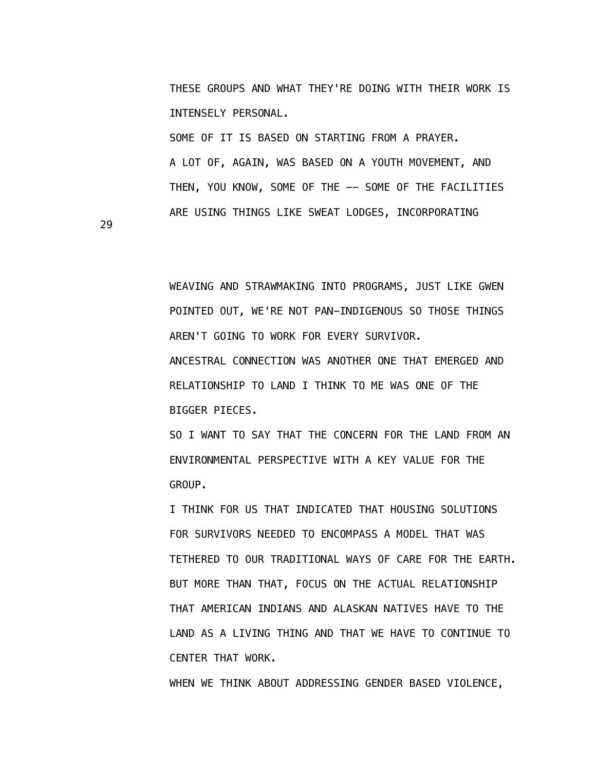THESE GROUPS AND WHAT THEY'RE DOING WITH THEIR WORK IS INTENSELY PERSONAL.

 SOME OF IT IS BASED ON STARTING FROM A PRAYER. A LOT OF, AGAIN, WAS BASED ON A YOUTH MOVEMENT, AND THEN, YOU KNOW, SOME OF THE -- SOME OF THE FACILITIES ARE USING THINGS LIKE SWEAT LODGES, INCORPORATING

29

 WEAVING AND STRAWMAKING INTO PROGRAMS, JUST LIKE GWEN POINTED OUT, WE'RE NOT PAN-INDIGENOUS SO THOSE THINGS AREN'T GOING TO WORK FOR EVERY SURVIVOR. ANCESTRAL CONNECTION WAS ANOTHER ONE THAT EMERGED AND RELATIONSHIP TO LAND I THINK TO ME WAS ONE OF THE BIGGER PIECES.

 SO I WANT TO SAY THAT THE CONCERN FOR THE LAND FROM AN ENVIRONMENTAL PERSPECTIVE WITH A KEY VALUE FOR THE GROUP.

 I THINK FOR US THAT INDICATED THAT HOUSING SOLUTIONS FOR SURVIVORS NEEDED TO ENCOMPASS A MODEL THAT WAS TETHERED TO OUR TRADITIONAL WAYS OF CARE FOR THE EARTH. BUT MORE THAN THAT, FOCUS ON THE ACTUAL RELATIONSHIP THAT AMERICAN INDIANS AND ALASKAN NATIVES HAVE TO THE LAND AS A LIVING THING AND THAT WE HAVE TO CONTINUE TO CENTER THAT WORK.

WHEN WE THINK ABOUT ADDRESSING GENDER BASED VIOLENCE,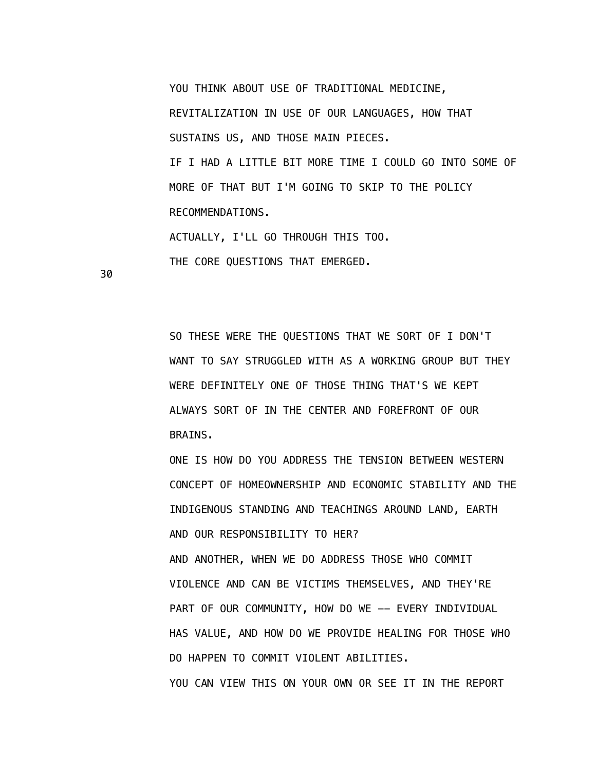YOU THINK ABOUT USE OF TRADITIONAL MEDICINE,

 REVITALIZATION IN USE OF OUR LANGUAGES, HOW THAT SUSTAINS US, AND THOSE MAIN PIECES.

 IF I HAD A LITTLE BIT MORE TIME I COULD GO INTO SOME OF MORE OF THAT BUT I'M GOING TO SKIP TO THE POLICY RECOMMENDATIONS.

ACTUALLY, I'LL GO THROUGH THIS TOO.

THE CORE QUESTIONS THAT EMERGED.

30

 SO THESE WERE THE QUESTIONS THAT WE SORT OF I DON'T WANT TO SAY STRUGGLED WITH AS A WORKING GROUP BUT THEY WERE DEFINITELY ONE OF THOSE THING THAT'S WE KEPT ALWAYS SORT OF IN THE CENTER AND FOREFRONT OF OUR BRAINS.

 ONE IS HOW DO YOU ADDRESS THE TENSION BETWEEN WESTERN CONCEPT OF HOMEOWNERSHIP AND ECONOMIC STABILITY AND THE INDIGENOUS STANDING AND TEACHINGS AROUND LAND, EARTH AND OUR RESPONSIBILITY TO HER? AND ANOTHER, WHEN WE DO ADDRESS THOSE WHO COMMIT VIOLENCE AND CAN BE VICTIMS THEMSELVES, AND THEY'RE PART OF OUR COMMUNITY, HOW DO WE -- EVERY INDIVIDUAL HAS VALUE, AND HOW DO WE PROVIDE HEALING FOR THOSE WHO DO HAPPEN TO COMMIT VIOLENT ABILITIES. YOU CAN VIEW THIS ON YOUR OWN OR SEE IT IN THE REPORT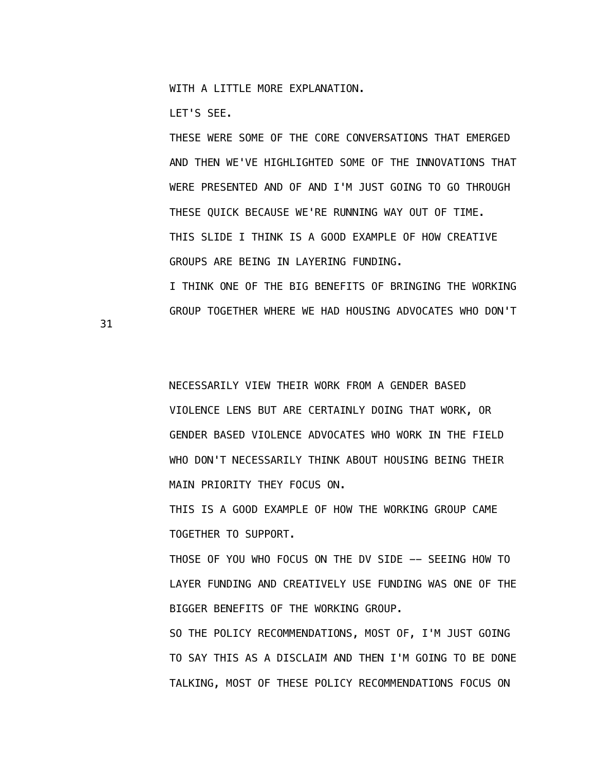WITH A LITTLE MORE EXPLANATION.

LET'S SEE.

 THESE WERE SOME OF THE CORE CONVERSATIONS THAT EMERGED AND THEN WE'VE HIGHLIGHTED SOME OF THE INNOVATIONS THAT WERE PRESENTED AND OF AND I'M JUST GOING TO GO THROUGH THESE QUICK BECAUSE WE'RE RUNNING WAY OUT OF TIME. THIS SLIDE I THINK IS A GOOD EXAMPLE OF HOW CREATIVE GROUPS ARE BEING IN LAYERING FUNDING. I THINK ONE OF THE BIG BENEFITS OF BRINGING THE WORKING

GROUP TOGETHER WHERE WE HAD HOUSING ADVOCATES WHO DON'T

31

 NECESSARILY VIEW THEIR WORK FROM A GENDER BASED VIOLENCE LENS BUT ARE CERTAINLY DOING THAT WORK, OR GENDER BASED VIOLENCE ADVOCATES WHO WORK IN THE FIELD WHO DON'T NECESSARILY THINK ABOUT HOUSING BEING THEIR MAIN PRIORITY THEY FOCUS ON.

 THIS IS A GOOD EXAMPLE OF HOW THE WORKING GROUP CAME TOGETHER TO SUPPORT.

 THOSE OF YOU WHO FOCUS ON THE DV SIDE -- SEEING HOW TO LAYER FUNDING AND CREATIVELY USE FUNDING WAS ONE OF THE BIGGER BENEFITS OF THE WORKING GROUP.

 SO THE POLICY RECOMMENDATIONS, MOST OF, I'M JUST GOING TO SAY THIS AS A DISCLAIM AND THEN I'M GOING TO BE DONE TALKING, MOST OF THESE POLICY RECOMMENDATIONS FOCUS ON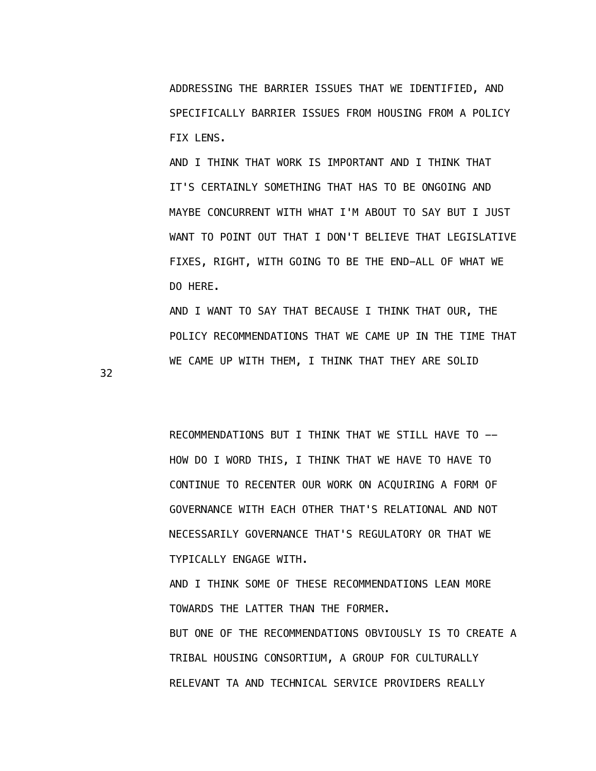ADDRESSING THE BARRIER ISSUES THAT WE IDENTIFIED, AND SPECIFICALLY BARRIER ISSUES FROM HOUSING FROM A POLICY FIX LENS.

 AND I THINK THAT WORK IS IMPORTANT AND I THINK THAT IT'S CERTAINLY SOMETHING THAT HAS TO BE ONGOING AND MAYBE CONCURRENT WITH WHAT I'M ABOUT TO SAY BUT I JUST WANT TO POINT OUT THAT I DON'T BELIEVE THAT LEGISLATIVE FIXES, RIGHT, WITH GOING TO BE THE END-ALL OF WHAT WE DO HERE.

 AND I WANT TO SAY THAT BECAUSE I THINK THAT OUR, THE POLICY RECOMMENDATIONS THAT WE CAME UP IN THE TIME THAT WE CAME UP WITH THEM, I THINK THAT THEY ARE SOLID

32

 RECOMMENDATIONS BUT I THINK THAT WE STILL HAVE TO -- HOW DO I WORD THIS, I THINK THAT WE HAVE TO HAVE TO CONTINUE TO RECENTER OUR WORK ON ACQUIRING A FORM OF GOVERNANCE WITH EACH OTHER THAT'S RELATIONAL AND NOT NECESSARILY GOVERNANCE THAT'S REGULATORY OR THAT WE TYPICALLY ENGAGE WITH.

 AND I THINK SOME OF THESE RECOMMENDATIONS LEAN MORE TOWARDS THE LATTER THAN THE FORMER. BUT ONE OF THE RECOMMENDATIONS OBVIOUSLY IS TO CREATE A TRIBAL HOUSING CONSORTIUM, A GROUP FOR CULTURALLY RELEVANT TA AND TECHNICAL SERVICE PROVIDERS REALLY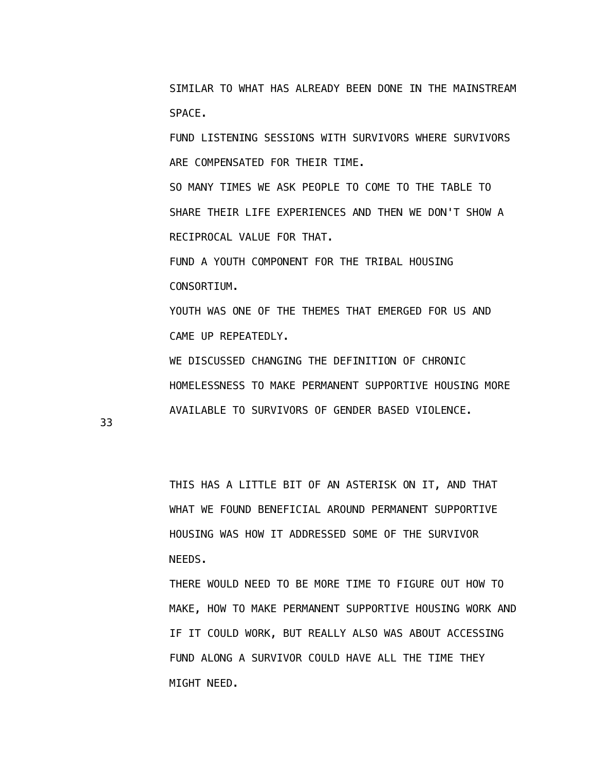SIMILAR TO WHAT HAS ALREADY BEEN DONE IN THE MAINSTREAM SPACE.

 FUND LISTENING SESSIONS WITH SURVIVORS WHERE SURVIVORS ARE COMPENSATED FOR THEIR TIME.

 SO MANY TIMES WE ASK PEOPLE TO COME TO THE TABLE TO SHARE THEIR LIFE EXPERIENCES AND THEN WE DON'T SHOW A RECIPROCAL VALUE FOR THAT.

 FUND A YOUTH COMPONENT FOR THE TRIBAL HOUSING CONSORTIUM.

 YOUTH WAS ONE OF THE THEMES THAT EMERGED FOR US AND CAME UP REPEATEDLY.

 WE DISCUSSED CHANGING THE DEFINITION OF CHRONIC HOMELESSNESS TO MAKE PERMANENT SUPPORTIVE HOUSING MORE AVAILABLE TO SURVIVORS OF GENDER BASED VIOLENCE.

33

 THIS HAS A LITTLE BIT OF AN ASTERISK ON IT, AND THAT WHAT WE FOUND BENEFICIAL AROUND PERMANENT SUPPORTIVE HOUSING WAS HOW IT ADDRESSED SOME OF THE SURVIVOR NEEDS.

 THERE WOULD NEED TO BE MORE TIME TO FIGURE OUT HOW TO MAKE, HOW TO MAKE PERMANENT SUPPORTIVE HOUSING WORK AND IF IT COULD WORK, BUT REALLY ALSO WAS ABOUT ACCESSING FUND ALONG A SURVIVOR COULD HAVE ALL THE TIME THEY MIGHT NEED.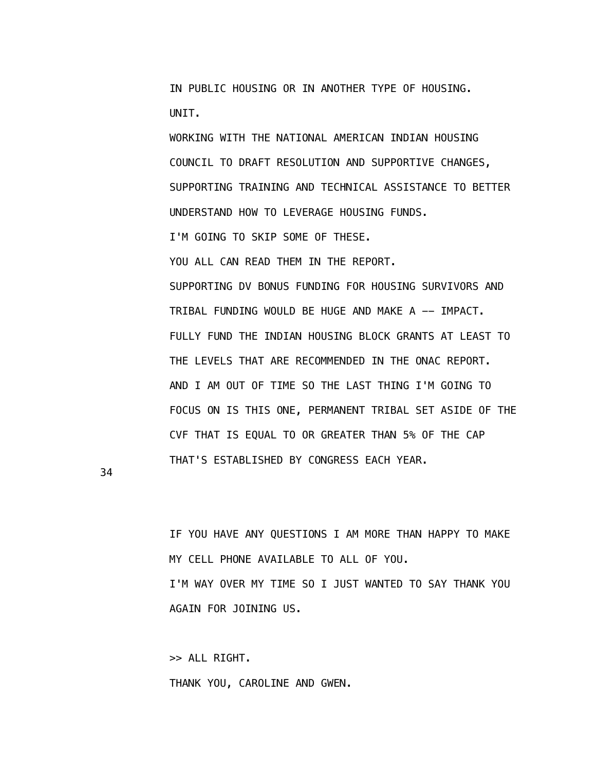IN PUBLIC HOUSING OR IN ANOTHER TYPE OF HOUSING. UNIT.

 WORKING WITH THE NATIONAL AMERICAN INDIAN HOUSING COUNCIL TO DRAFT RESOLUTION AND SUPPORTIVE CHANGES, SUPPORTING TRAINING AND TECHNICAL ASSISTANCE TO BETTER UNDERSTAND HOW TO LEVERAGE HOUSING FUNDS. I'M GOING TO SKIP SOME OF THESE. YOU ALL CAN READ THEM IN THE REPORT. SUPPORTING DV BONUS FUNDING FOR HOUSING SURVIVORS AND TRIBAL FUNDING WOULD BE HUGE AND MAKE A -- IMPACT. FULLY FUND THE INDIAN HOUSING BLOCK GRANTS AT LEAST TO THE LEVELS THAT ARE RECOMMENDED IN THE ONAC REPORT. AND I AM OUT OF TIME SO THE LAST THING I'M GOING TO FOCUS ON IS THIS ONE, PERMANENT TRIBAL SET ASIDE OF THE CVF THAT IS EQUAL TO OR GREATER THAN 5% OF THE CAP

34

 IF YOU HAVE ANY QUESTIONS I AM MORE THAN HAPPY TO MAKE MY CELL PHONE AVAILABLE TO ALL OF YOU. I'M WAY OVER MY TIME SO I JUST WANTED TO SAY THANK YOU AGAIN FOR JOINING US.

THAT'S ESTABLISHED BY CONGRESS EACH YEAR.

 >> ALL RIGHT. THANK YOU, CAROLINE AND GWEN.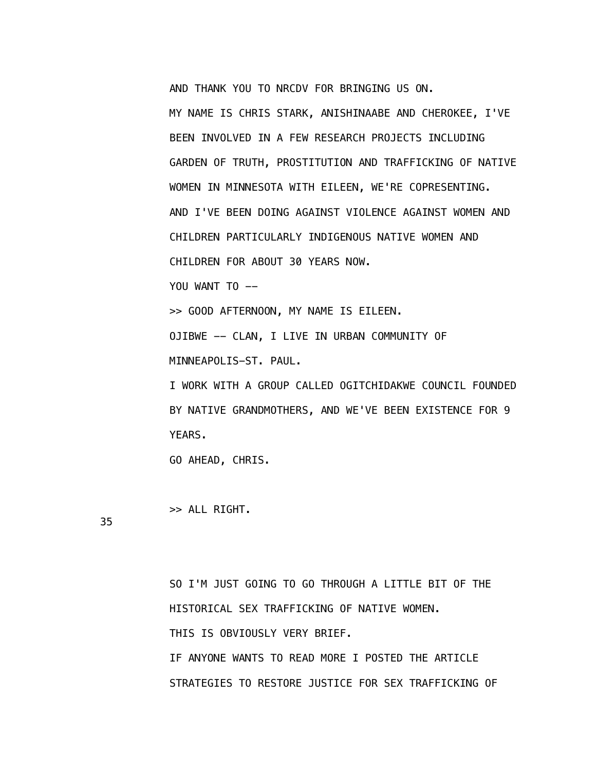AND THANK YOU TO NRCDV FOR BRINGING US ON.

 MY NAME IS CHRIS STARK, ANISHINAABE AND CHEROKEE, I'VE BEEN INVOLVED IN A FEW RESEARCH PROJECTS INCLUDING GARDEN OF TRUTH, PROSTITUTION AND TRAFFICKING OF NATIVE WOMEN IN MINNESOTA WITH EILEEN, WE'RE COPRESENTING. AND I'VE BEEN DOING AGAINST VIOLENCE AGAINST WOMEN AND CHILDREN PARTICULARLY INDIGENOUS NATIVE WOMEN AND CHILDREN FOR ABOUT 30 YEARS NOW. YOU WANT TO --

>> GOOD AFTERNOON, MY NAME IS EILEEN.

OJIBWE -- CLAN, I LIVE IN URBAN COMMUNITY OF

MINNEAPOLIS-ST. PAUL.

 I WORK WITH A GROUP CALLED OGITCHIDAKWE COUNCIL FOUNDED BY NATIVE GRANDMOTHERS, AND WE'VE BEEN EXISTENCE FOR 9 YEARS.

GO AHEAD, CHRIS.

>> ALL RIGHT.

35

 SO I'M JUST GOING TO GO THROUGH A LITTLE BIT OF THE HISTORICAL SEX TRAFFICKING OF NATIVE WOMEN. THIS IS OBVIOUSLY VERY BRIEF. IF ANYONE WANTS TO READ MORE I POSTED THE ARTICLE STRATEGIES TO RESTORE JUSTICE FOR SEX TRAFFICKING OF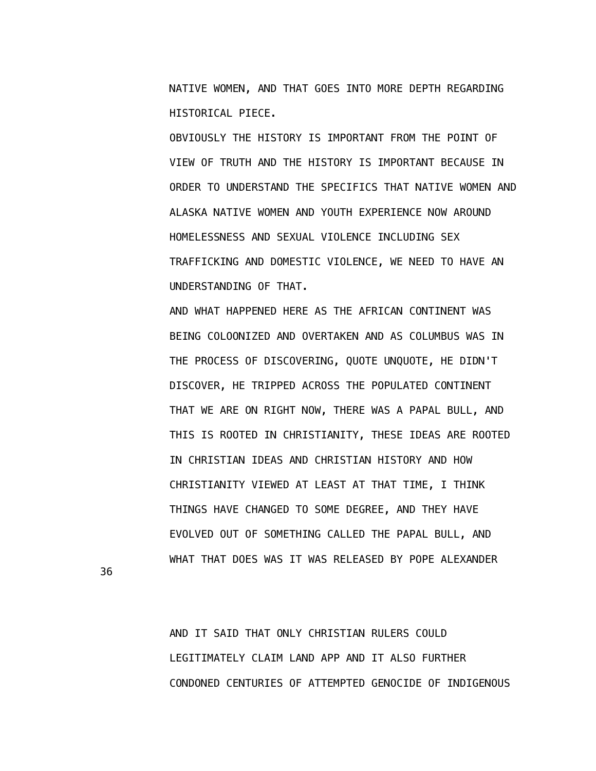NATIVE WOMEN, AND THAT GOES INTO MORE DEPTH REGARDING HISTORICAL PIECE.

 OBVIOUSLY THE HISTORY IS IMPORTANT FROM THE POINT OF VIEW OF TRUTH AND THE HISTORY IS IMPORTANT BECAUSE IN ORDER TO UNDERSTAND THE SPECIFICS THAT NATIVE WOMEN AND ALASKA NATIVE WOMEN AND YOUTH EXPERIENCE NOW AROUND HOMELESSNESS AND SEXUAL VIOLENCE INCLUDING SEX TRAFFICKING AND DOMESTIC VIOLENCE, WE NEED TO HAVE AN UNDERSTANDING OF THAT.

 AND WHAT HAPPENED HERE AS THE AFRICAN CONTINENT WAS BEING COLOONIZED AND OVERTAKEN AND AS COLUMBUS WAS IN THE PROCESS OF DISCOVERING, QUOTE UNQUOTE, HE DIDN'T DISCOVER, HE TRIPPED ACROSS THE POPULATED CONTINENT THAT WE ARE ON RIGHT NOW, THERE WAS A PAPAL BULL, AND THIS IS ROOTED IN CHRISTIANITY, THESE IDEAS ARE ROOTED IN CHRISTIAN IDEAS AND CHRISTIAN HISTORY AND HOW CHRISTIANITY VIEWED AT LEAST AT THAT TIME, I THINK THINGS HAVE CHANGED TO SOME DEGREE, AND THEY HAVE EVOLVED OUT OF SOMETHING CALLED THE PAPAL BULL, AND WHAT THAT DOES WAS IT WAS RELEASED BY POPE ALEXANDER

36

 AND IT SAID THAT ONLY CHRISTIAN RULERS COULD LEGITIMATELY CLAIM LAND APP AND IT ALSO FURTHER CONDONED CENTURIES OF ATTEMPTED GENOCIDE OF INDIGENOUS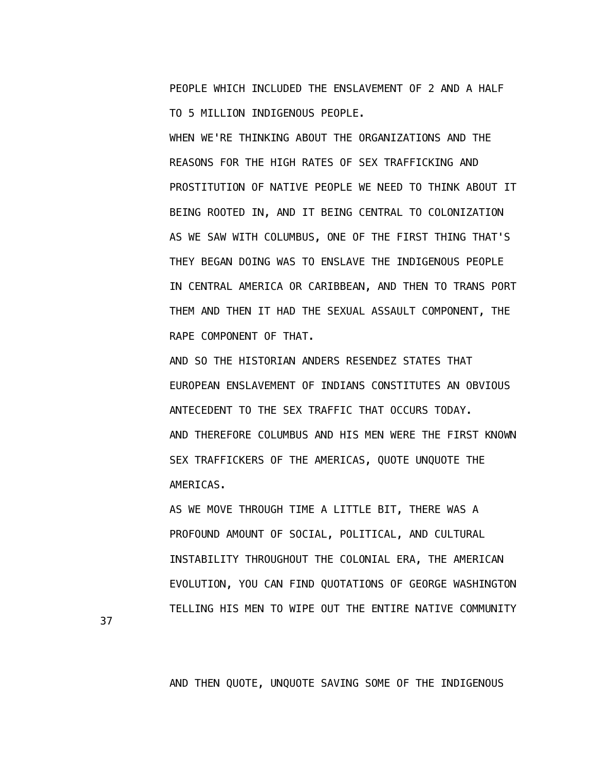PEOPLE WHICH INCLUDED THE ENSLAVEMENT OF 2 AND A HALF TO 5 MILLION INDIGENOUS PEOPLE.

 WHEN WE'RE THINKING ABOUT THE ORGANIZATIONS AND THE REASONS FOR THE HIGH RATES OF SEX TRAFFICKING AND PROSTITUTION OF NATIVE PEOPLE WE NEED TO THINK ABOUT IT BEING ROOTED IN, AND IT BEING CENTRAL TO COLONIZATION AS WE SAW WITH COLUMBUS, ONE OF THE FIRST THING THAT'S THEY BEGAN DOING WAS TO ENSLAVE THE INDIGENOUS PEOPLE IN CENTRAL AMERICA OR CARIBBEAN, AND THEN TO TRANS PORT THEM AND THEN IT HAD THE SEXUAL ASSAULT COMPONENT, THE RAPE COMPONENT OF THAT.

 AND SO THE HISTORIAN ANDERS RESENDEZ STATES THAT EUROPEAN ENSLAVEMENT OF INDIANS CONSTITUTES AN OBVIOUS ANTECEDENT TO THE SEX TRAFFIC THAT OCCURS TODAY. AND THEREFORE COLUMBUS AND HIS MEN WERE THE FIRST KNOWN SEX TRAFFICKERS OF THE AMERICAS, QUOTE UNQUOTE THE AMERICAS.

 AS WE MOVE THROUGH TIME A LITTLE BIT, THERE WAS A PROFOUND AMOUNT OF SOCIAL, POLITICAL, AND CULTURAL INSTABILITY THROUGHOUT THE COLONIAL ERA, THE AMERICAN EVOLUTION, YOU CAN FIND QUOTATIONS OF GEORGE WASHINGTON TELLING HIS MEN TO WIPE OUT THE ENTIRE NATIVE COMMUNITY

37

AND THEN QUOTE, UNQUOTE SAVING SOME OF THE INDIGENOUS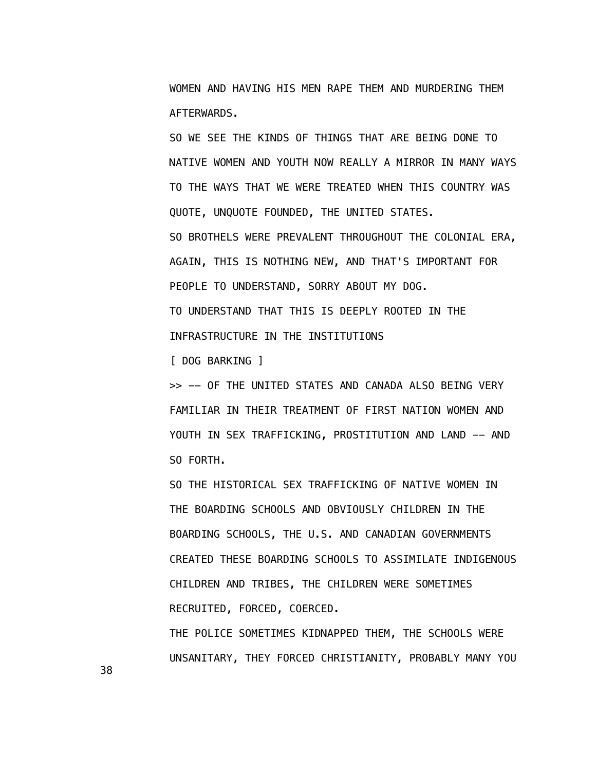WOMEN AND HAVING HIS MEN RAPE THEM AND MURDERING THEM AFTERWARDS.

 SO WE SEE THE KINDS OF THINGS THAT ARE BEING DONE TO NATIVE WOMEN AND YOUTH NOW REALLY A MIRROR IN MANY WAYS TO THE WAYS THAT WE WERE TREATED WHEN THIS COUNTRY WAS QUOTE, UNQUOTE FOUNDED, THE UNITED STATES. SO BROTHELS WERE PREVALENT THROUGHOUT THE COLONIAL ERA, AGAIN, THIS IS NOTHING NEW, AND THAT'S IMPORTANT FOR PEOPLE TO UNDERSTAND, SORRY ABOUT MY DOG. TO UNDERSTAND THAT THIS IS DEEPLY ROOTED IN THE INFRASTRUCTURE IN THE INSTITUTIONS

[ DOG BARKING ]

>> -- OF THE UNITED STATES AND CANADA ALSO BEING VERY FAMILIAR IN THEIR TREATMENT OF FIRST NATION WOMEN AND YOUTH IN SEX TRAFFICKING, PROSTITUTION AND LAND -- AND SO FORTH.

 SO THE HISTORICAL SEX TRAFFICKING OF NATIVE WOMEN IN THE BOARDING SCHOOLS AND OBVIOUSLY CHILDREN IN THE BOARDING SCHOOLS, THE U.S. AND CANADIAN GOVERNMENTS CREATED THESE BOARDING SCHOOLS TO ASSIMILATE INDIGENOUS CHILDREN AND TRIBES, THE CHILDREN WERE SOMETIMES RECRUITED, FORCED, COERCED.

 THE POLICE SOMETIMES KIDNAPPED THEM, THE SCHOOLS WERE UNSANITARY, THEY FORCED CHRISTIANITY, PROBABLY MANY YOU

38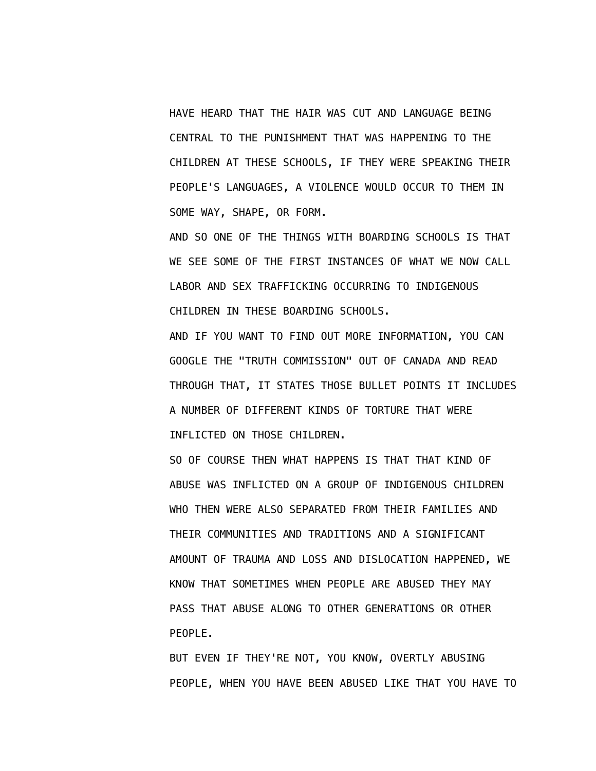HAVE HEARD THAT THE HAIR WAS CUT AND LANGUAGE BEING CENTRAL TO THE PUNISHMENT THAT WAS HAPPENING TO THE CHILDREN AT THESE SCHOOLS, IF THEY WERE SPEAKING THEIR PEOPLE'S LANGUAGES, A VIOLENCE WOULD OCCUR TO THEM IN SOME WAY, SHAPE, OR FORM.

 AND SO ONE OF THE THINGS WITH BOARDING SCHOOLS IS THAT WE SEE SOME OF THE FIRST INSTANCES OF WHAT WE NOW CALL LABOR AND SEX TRAFFICKING OCCURRING TO INDIGENOUS CHILDREN IN THESE BOARDING SCHOOLS.

 AND IF YOU WANT TO FIND OUT MORE INFORMATION, YOU CAN GOOGLE THE "TRUTH COMMISSION" OUT OF CANADA AND READ THROUGH THAT, IT STATES THOSE BULLET POINTS IT INCLUDES A NUMBER OF DIFFERENT KINDS OF TORTURE THAT WERE INFLICTED ON THOSE CHILDREN.

 SO OF COURSE THEN WHAT HAPPENS IS THAT THAT KIND OF ABUSE WAS INFLICTED ON A GROUP OF INDIGENOUS CHILDREN WHO THEN WERE ALSO SEPARATED FROM THEIR FAMILIES AND THEIR COMMUNITIES AND TRADITIONS AND A SIGNIFICANT AMOUNT OF TRAUMA AND LOSS AND DISLOCATION HAPPENED, WE KNOW THAT SOMETIMES WHEN PEOPLE ARE ABUSED THEY MAY PASS THAT ABUSE ALONG TO OTHER GENERATIONS OR OTHER PEOPLE.

 BUT EVEN IF THEY'RE NOT, YOU KNOW, OVERTLY ABUSING PEOPLE, WHEN YOU HAVE BEEN ABUSED LIKE THAT YOU HAVE TO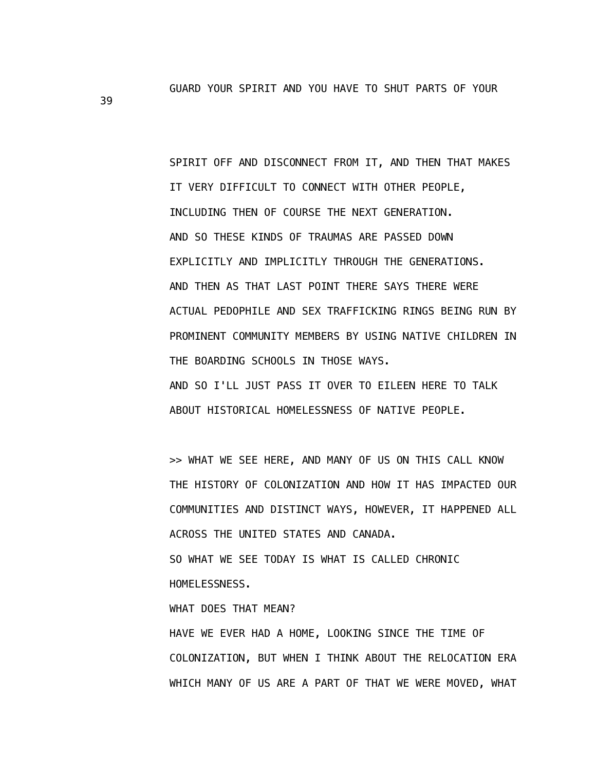GUARD YOUR SPIRIT AND YOU HAVE TO SHUT PARTS OF YOUR

 SPIRIT OFF AND DISCONNECT FROM IT, AND THEN THAT MAKES IT VERY DIFFICULT TO CONNECT WITH OTHER PEOPLE, INCLUDING THEN OF COURSE THE NEXT GENERATION. AND SO THESE KINDS OF TRAUMAS ARE PASSED DOWN EXPLICITLY AND IMPLICITLY THROUGH THE GENERATIONS. AND THEN AS THAT LAST POINT THERE SAYS THERE WERE ACTUAL PEDOPHILE AND SEX TRAFFICKING RINGS BEING RUN BY PROMINENT COMMUNITY MEMBERS BY USING NATIVE CHILDREN IN THE BOARDING SCHOOLS IN THOSE WAYS. AND SO I'LL JUST PASS IT OVER TO EILEEN HERE TO TALK

ABOUT HISTORICAL HOMELESSNESS OF NATIVE PEOPLE.

 >> WHAT WE SEE HERE, AND MANY OF US ON THIS CALL KNOW THE HISTORY OF COLONIZATION AND HOW IT HAS IMPACTED OUR COMMUNITIES AND DISTINCT WAYS, HOWEVER, IT HAPPENED ALL ACROSS THE UNITED STATES AND CANADA. SO WHAT WE SEE TODAY IS WHAT IS CALLED CHRONIC HOMELESSNESS.

WHAT DOES THAT MEAN?

 HAVE WE EVER HAD A HOME, LOOKING SINCE THE TIME OF COLONIZATION, BUT WHEN I THINK ABOUT THE RELOCATION ERA WHICH MANY OF US ARE A PART OF THAT WE WERE MOVED, WHAT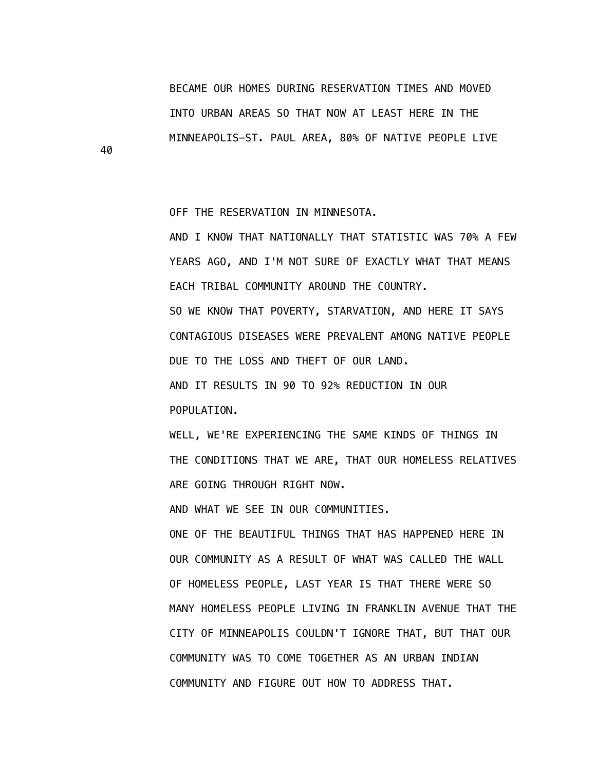BECAME OUR HOMES DURING RESERVATION TIMES AND MOVED INTO URBAN AREAS SO THAT NOW AT LEAST HERE IN THE MINNEAPOLIS-ST. PAUL AREA, 80% OF NATIVE PEOPLE LIVE

OFF THE RESERVATION IN MINNESOTA.

 AND I KNOW THAT NATIONALLY THAT STATISTIC WAS 70% A FEW YEARS AGO, AND I'M NOT SURE OF EXACTLY WHAT THAT MEANS EACH TRIBAL COMMUNITY AROUND THE COUNTRY. SO WE KNOW THAT POVERTY, STARVATION, AND HERE IT SAYS CONTAGIOUS DISEASES WERE PREVALENT AMONG NATIVE PEOPLE DUE TO THE LOSS AND THEFT OF OUR LAND. AND IT RESULTS IN 90 TO 92% REDUCTION IN OUR POPULATION.

 WELL, WE'RE EXPERIENCING THE SAME KINDS OF THINGS IN THE CONDITIONS THAT WE ARE, THAT OUR HOMELESS RELATIVES ARE GOING THROUGH RIGHT NOW.

AND WHAT WE SEE IN OUR COMMUNITIES.

 ONE OF THE BEAUTIFUL THINGS THAT HAS HAPPENED HERE IN OUR COMMUNITY AS A RESULT OF WHAT WAS CALLED THE WALL OF HOMELESS PEOPLE, LAST YEAR IS THAT THERE WERE SO MANY HOMELESS PEOPLE LIVING IN FRANKLIN AVENUE THAT THE CITY OF MINNEAPOLIS COULDN'T IGNORE THAT, BUT THAT OUR COMMUNITY WAS TO COME TOGETHER AS AN URBAN INDIAN COMMUNITY AND FIGURE OUT HOW TO ADDRESS THAT.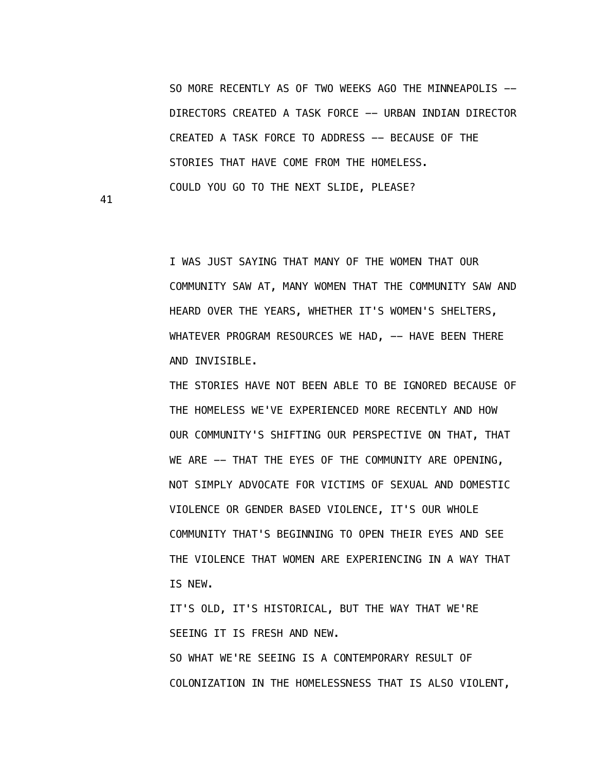SO MORE RECENTLY AS OF TWO WEEKS AGO THE MINNEAPOLIS --DIRECTORS CREATED A TASK FORCE -- URBAN INDIAN DIRECTOR CREATED A TASK FORCE TO ADDRESS -- BECAUSE OF THE STORIES THAT HAVE COME FROM THE HOMELESS. COULD YOU GO TO THE NEXT SLIDE, PLEASE?

41

 I WAS JUST SAYING THAT MANY OF THE WOMEN THAT OUR COMMUNITY SAW AT, MANY WOMEN THAT THE COMMUNITY SAW AND HEARD OVER THE YEARS, WHETHER IT'S WOMEN'S SHELTERS, WHATEVER PROGRAM RESOURCES WE HAD, -- HAVE BEEN THERE AND INVISIBLE.

 THE STORIES HAVE NOT BEEN ABLE TO BE IGNORED BECAUSE OF THE HOMELESS WE'VE EXPERIENCED MORE RECENTLY AND HOW OUR COMMUNITY'S SHIFTING OUR PERSPECTIVE ON THAT, THAT WE ARE -- THAT THE EYES OF THE COMMUNITY ARE OPENING, NOT SIMPLY ADVOCATE FOR VICTIMS OF SEXUAL AND DOMESTIC VIOLENCE OR GENDER BASED VIOLENCE, IT'S OUR WHOLE COMMUNITY THAT'S BEGINNING TO OPEN THEIR EYES AND SEE THE VIOLENCE THAT WOMEN ARE EXPERIENCING IN A WAY THAT IS NEW.

 IT'S OLD, IT'S HISTORICAL, BUT THE WAY THAT WE'RE SEEING IT IS FRESH AND NEW.

 SO WHAT WE'RE SEEING IS A CONTEMPORARY RESULT OF COLONIZATION IN THE HOMELESSNESS THAT IS ALSO VIOLENT,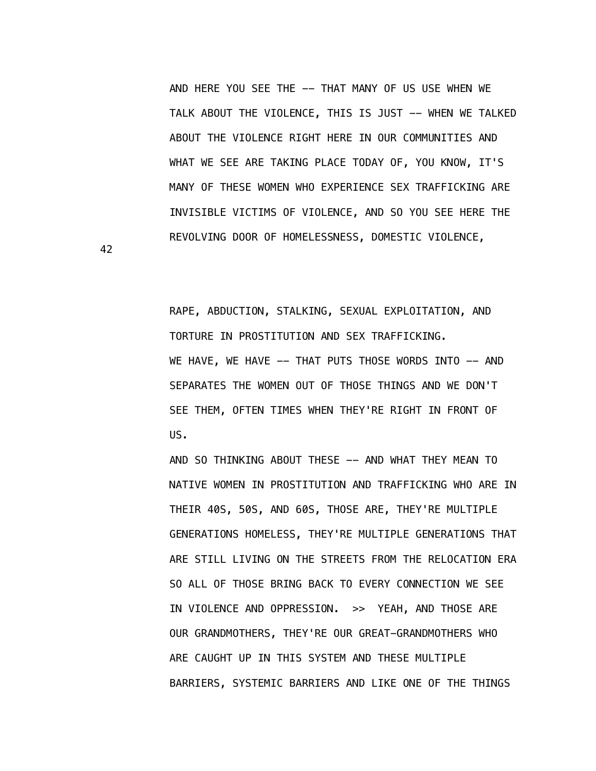AND HERE YOU SEE THE -- THAT MANY OF US USE WHEN WE TALK ABOUT THE VIOLENCE, THIS IS JUST -- WHEN WE TALKED ABOUT THE VIOLENCE RIGHT HERE IN OUR COMMUNITIES AND WHAT WE SEE ARE TAKING PLACE TODAY OF, YOU KNOW, IT'S MANY OF THESE WOMEN WHO EXPERIENCE SEX TRAFFICKING ARE INVISIBLE VICTIMS OF VIOLENCE, AND SO YOU SEE HERE THE REVOLVING DOOR OF HOMELESSNESS, DOMESTIC VIOLENCE,

 RAPE, ABDUCTION, STALKING, SEXUAL EXPLOITATION, AND TORTURE IN PROSTITUTION AND SEX TRAFFICKING. WE HAVE, WE HAVE -- THAT PUTS THOSE WORDS INTO -- AND SEPARATES THE WOMEN OUT OF THOSE THINGS AND WE DON'T SEE THEM, OFTEN TIMES WHEN THEY'RE RIGHT IN FRONT OF US.

AND SO THINKING ABOUT THESE -- AND WHAT THEY MEAN TO NATIVE WOMEN IN PROSTITUTION AND TRAFFICKING WHO ARE IN THEIR 40S, 50S, AND 60S, THOSE ARE, THEY'RE MULTIPLE GENERATIONS HOMELESS, THEY'RE MULTIPLE GENERATIONS THAT ARE STILL LIVING ON THE STREETS FROM THE RELOCATION ERA SO ALL OF THOSE BRING BACK TO EVERY CONNECTION WE SEE IN VIOLENCE AND OPPRESSION. >> YEAH, AND THOSE ARE OUR GRANDMOTHERS, THEY'RE OUR GREAT-GRANDMOTHERS WHO ARE CAUGHT UP IN THIS SYSTEM AND THESE MULTIPLE BARRIERS, SYSTEMIC BARRIERS AND LIKE ONE OF THE THINGS

42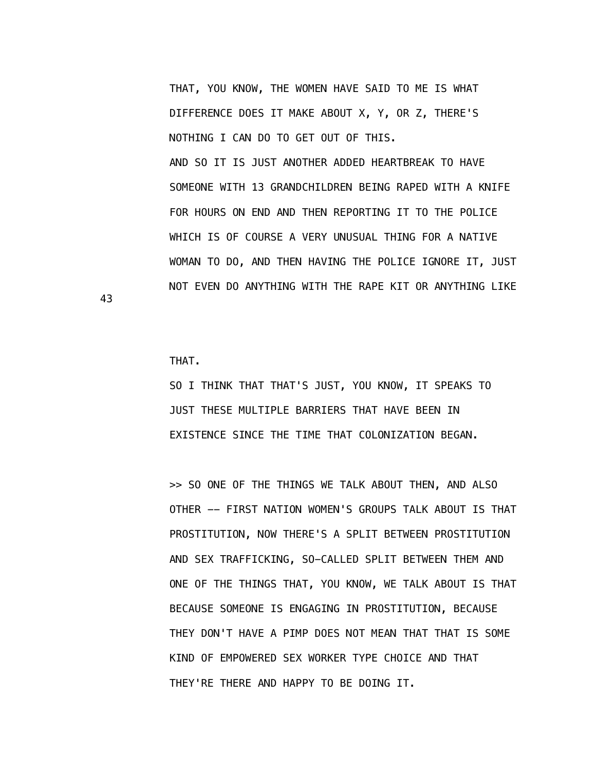THAT, YOU KNOW, THE WOMEN HAVE SAID TO ME IS WHAT DIFFERENCE DOES IT MAKE ABOUT X, Y, OR Z, THERE'S NOTHING I CAN DO TO GET OUT OF THIS. AND SO IT IS JUST ANOTHER ADDED HEARTBREAK TO HAVE SOMEONE WITH 13 GRANDCHILDREN BEING RAPED WITH A KNIFE FOR HOURS ON END AND THEN REPORTING IT TO THE POLICE WHICH IS OF COURSE A VERY UNUSUAL THING FOR A NATIVE WOMAN TO DO, AND THEN HAVING THE POLICE IGNORE IT, JUST NOT EVEN DO ANYTHING WITH THE RAPE KIT OR ANYTHING LIKE

THAT.

43

 SO I THINK THAT THAT'S JUST, YOU KNOW, IT SPEAKS TO JUST THESE MULTIPLE BARRIERS THAT HAVE BEEN IN EXISTENCE SINCE THE TIME THAT COLONIZATION BEGAN.

 >> SO ONE OF THE THINGS WE TALK ABOUT THEN, AND ALSO OTHER -- FIRST NATION WOMEN'S GROUPS TALK ABOUT IS THAT PROSTITUTION, NOW THERE'S A SPLIT BETWEEN PROSTITUTION AND SEX TRAFFICKING, SO-CALLED SPLIT BETWEEN THEM AND ONE OF THE THINGS THAT, YOU KNOW, WE TALK ABOUT IS THAT BECAUSE SOMEONE IS ENGAGING IN PROSTITUTION, BECAUSE THEY DON'T HAVE A PIMP DOES NOT MEAN THAT THAT IS SOME KIND OF EMPOWERED SEX WORKER TYPE CHOICE AND THAT THEY'RE THERE AND HAPPY TO BE DOING IT.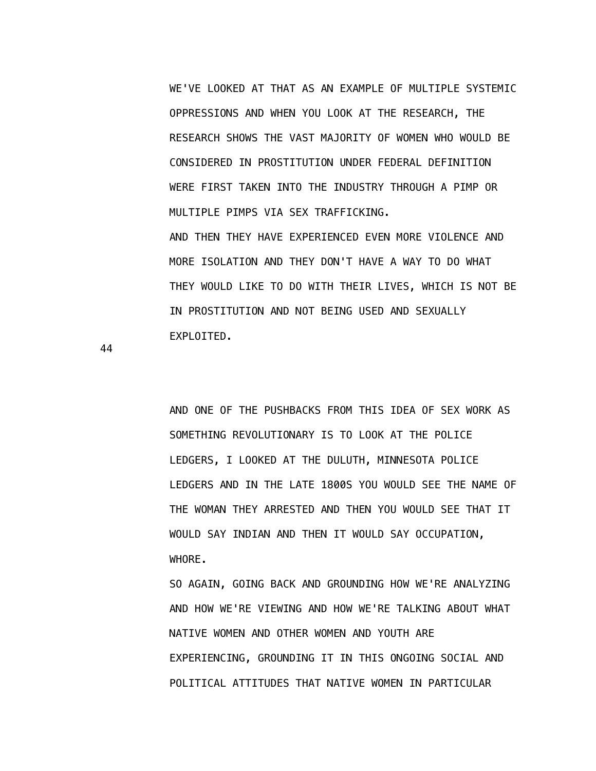WE'VE LOOKED AT THAT AS AN EXAMPLE OF MULTIPLE SYSTEMIC OPPRESSIONS AND WHEN YOU LOOK AT THE RESEARCH, THE RESEARCH SHOWS THE VAST MAJORITY OF WOMEN WHO WOULD BE CONSIDERED IN PROSTITUTION UNDER FEDERAL DEFINITION WERE FIRST TAKEN INTO THE INDUSTRY THROUGH A PIMP OR MULTIPLE PIMPS VIA SEX TRAFFICKING.

 AND THEN THEY HAVE EXPERIENCED EVEN MORE VIOLENCE AND MORE ISOLATION AND THEY DON'T HAVE A WAY TO DO WHAT THEY WOULD LIKE TO DO WITH THEIR LIVES, WHICH IS NOT BE IN PROSTITUTION AND NOT BEING USED AND SEXUALLY EXPLOITED.

44

 AND ONE OF THE PUSHBACKS FROM THIS IDEA OF SEX WORK AS SOMETHING REVOLUTIONARY IS TO LOOK AT THE POLICE LEDGERS, I LOOKED AT THE DULUTH, MINNESOTA POLICE LEDGERS AND IN THE LATE 1800S YOU WOULD SEE THE NAME OF THE WOMAN THEY ARRESTED AND THEN YOU WOULD SEE THAT IT WOULD SAY INDIAN AND THEN IT WOULD SAY OCCUPATION, WHORE.

 SO AGAIN, GOING BACK AND GROUNDING HOW WE'RE ANALYZING AND HOW WE'RE VIEWING AND HOW WE'RE TALKING ABOUT WHAT NATIVE WOMEN AND OTHER WOMEN AND YOUTH ARE EXPERIENCING, GROUNDING IT IN THIS ONGOING SOCIAL AND POLITICAL ATTITUDES THAT NATIVE WOMEN IN PARTICULAR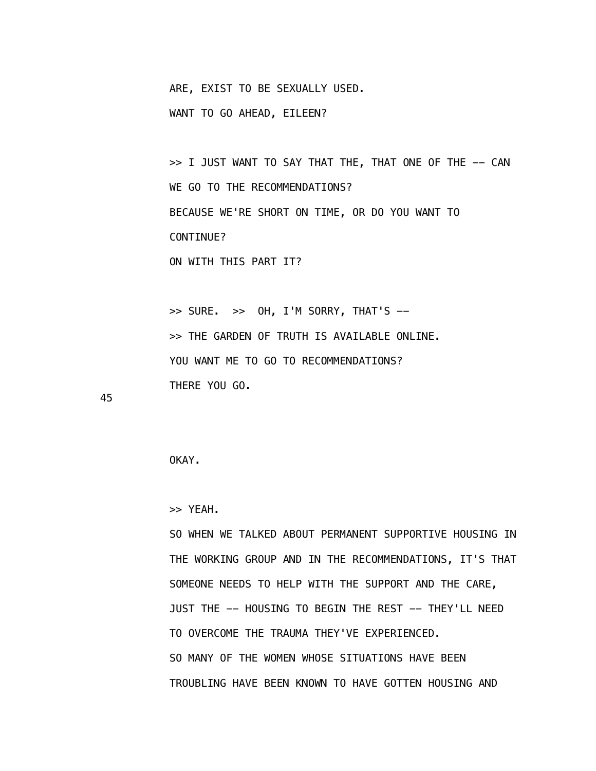ARE, EXIST TO BE SEXUALLY USED.

WANT TO GO AHEAD, EILEEN?

>> I JUST WANT TO SAY THAT THE, THAT ONE OF THE -- CAN WE GO TO THE RECOMMENDATIONS? BECAUSE WE'RE SHORT ON TIME, OR DO YOU WANT TO CONTINUE?

ON WITH THIS PART IT?

 >> SURE. >> OH, I'M SORRY, THAT'S -- >> THE GARDEN OF TRUTH IS AVAILABLE ONLINE. YOU WANT ME TO GO TO RECOMMENDATIONS? THERE YOU GO.

45

OKAY.

>> YEAH.

 SO WHEN WE TALKED ABOUT PERMANENT SUPPORTIVE HOUSING IN THE WORKING GROUP AND IN THE RECOMMENDATIONS, IT'S THAT SOMEONE NEEDS TO HELP WITH THE SUPPORT AND THE CARE, JUST THE -- HOUSING TO BEGIN THE REST -- THEY'LL NEED TO OVERCOME THE TRAUMA THEY'VE EXPERIENCED. SO MANY OF THE WOMEN WHOSE SITUATIONS HAVE BEEN TROUBLING HAVE BEEN KNOWN TO HAVE GOTTEN HOUSING AND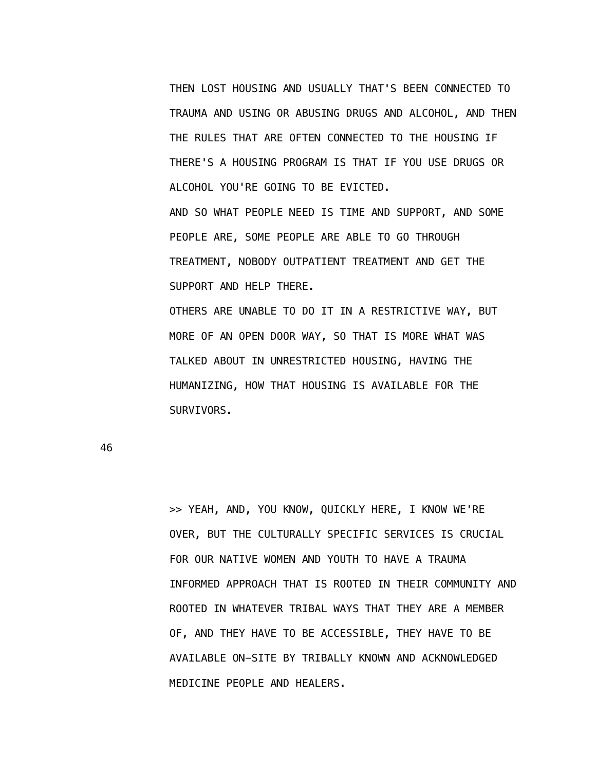THEN LOST HOUSING AND USUALLY THAT'S BEEN CONNECTED TO TRAUMA AND USING OR ABUSING DRUGS AND ALCOHOL, AND THEN THE RULES THAT ARE OFTEN CONNECTED TO THE HOUSING IF THERE'S A HOUSING PROGRAM IS THAT IF YOU USE DRUGS OR ALCOHOL YOU'RE GOING TO BE EVICTED. AND SO WHAT PEOPLE NEED IS TIME AND SUPPORT, AND SOME PEOPLE ARE, SOME PEOPLE ARE ABLE TO GO THROUGH

 TREATMENT, NOBODY OUTPATIENT TREATMENT AND GET THE SUPPORT AND HELP THERE.

 OTHERS ARE UNABLE TO DO IT IN A RESTRICTIVE WAY, BUT MORE OF AN OPEN DOOR WAY, SO THAT IS MORE WHAT WAS TALKED ABOUT IN UNRESTRICTED HOUSING, HAVING THE HUMANIZING, HOW THAT HOUSING IS AVAILABLE FOR THE SURVIVORS.

46

 >> YEAH, AND, YOU KNOW, QUICKLY HERE, I KNOW WE'RE OVER, BUT THE CULTURALLY SPECIFIC SERVICES IS CRUCIAL FOR OUR NATIVE WOMEN AND YOUTH TO HAVE A TRAUMA INFORMED APPROACH THAT IS ROOTED IN THEIR COMMUNITY AND ROOTED IN WHATEVER TRIBAL WAYS THAT THEY ARE A MEMBER OF, AND THEY HAVE TO BE ACCESSIBLE, THEY HAVE TO BE AVAILABLE ON-SITE BY TRIBALLY KNOWN AND ACKNOWLEDGED MEDICINE PEOPLE AND HEALERS.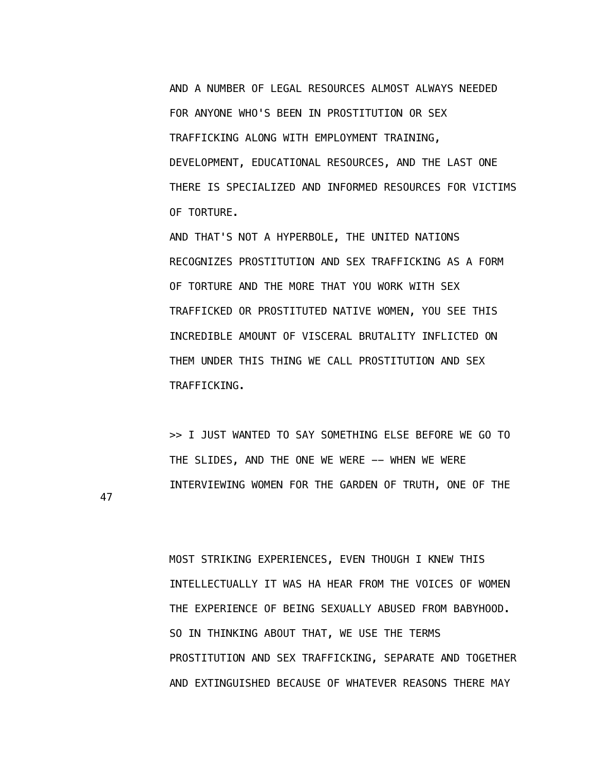AND A NUMBER OF LEGAL RESOURCES ALMOST ALWAYS NEEDED FOR ANYONE WHO'S BEEN IN PROSTITUTION OR SEX TRAFFICKING ALONG WITH EMPLOYMENT TRAINING, DEVELOPMENT, EDUCATIONAL RESOURCES, AND THE LAST ONE THERE IS SPECIALIZED AND INFORMED RESOURCES FOR VICTIMS OF TORTURE.

 AND THAT'S NOT A HYPERBOLE, THE UNITED NATIONS RECOGNIZES PROSTITUTION AND SEX TRAFFICKING AS A FORM OF TORTURE AND THE MORE THAT YOU WORK WITH SEX TRAFFICKED OR PROSTITUTED NATIVE WOMEN, YOU SEE THIS INCREDIBLE AMOUNT OF VISCERAL BRUTALITY INFLICTED ON THEM UNDER THIS THING WE CALL PROSTITUTION AND SEX TRAFFICKING.

 >> I JUST WANTED TO SAY SOMETHING ELSE BEFORE WE GO TO THE SLIDES, AND THE ONE WE WERE -- WHEN WE WERE INTERVIEWING WOMEN FOR THE GARDEN OF TRUTH, ONE OF THE

47

 MOST STRIKING EXPERIENCES, EVEN THOUGH I KNEW THIS INTELLECTUALLY IT WAS HA HEAR FROM THE VOICES OF WOMEN THE EXPERIENCE OF BEING SEXUALLY ABUSED FROM BABYHOOD. SO IN THINKING ABOUT THAT, WE USE THE TERMS PROSTITUTION AND SEX TRAFFICKING, SEPARATE AND TOGETHER AND EXTINGUISHED BECAUSE OF WHATEVER REASONS THERE MAY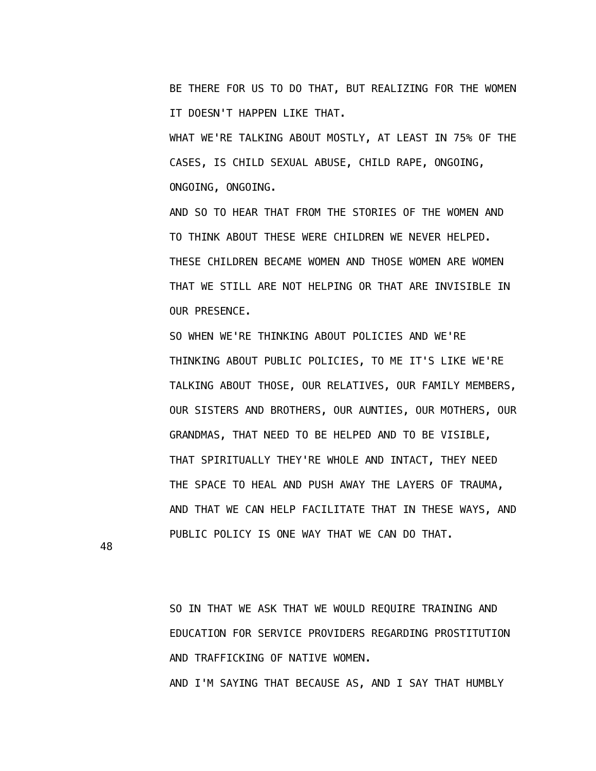BE THERE FOR US TO DO THAT, BUT REALIZING FOR THE WOMEN IT DOESN'T HAPPEN LIKE THAT.

 WHAT WE'RE TALKING ABOUT MOSTLY, AT LEAST IN 75% OF THE CASES, IS CHILD SEXUAL ABUSE, CHILD RAPE, ONGOING, ONGOING, ONGOING.

 AND SO TO HEAR THAT FROM THE STORIES OF THE WOMEN AND TO THINK ABOUT THESE WERE CHILDREN WE NEVER HELPED. THESE CHILDREN BECAME WOMEN AND THOSE WOMEN ARE WOMEN THAT WE STILL ARE NOT HELPING OR THAT ARE INVISIBLE IN OUR PRESENCE.

 SO WHEN WE'RE THINKING ABOUT POLICIES AND WE'RE THINKING ABOUT PUBLIC POLICIES, TO ME IT'S LIKE WE'RE TALKING ABOUT THOSE, OUR RELATIVES, OUR FAMILY MEMBERS, OUR SISTERS AND BROTHERS, OUR AUNTIES, OUR MOTHERS, OUR GRANDMAS, THAT NEED TO BE HELPED AND TO BE VISIBLE, THAT SPIRITUALLY THEY'RE WHOLE AND INTACT, THEY NEED THE SPACE TO HEAL AND PUSH AWAY THE LAYERS OF TRAUMA, AND THAT WE CAN HELP FACILITATE THAT IN THESE WAYS, AND PUBLIC POLICY IS ONE WAY THAT WE CAN DO THAT.

48

 SO IN THAT WE ASK THAT WE WOULD REQUIRE TRAINING AND EDUCATION FOR SERVICE PROVIDERS REGARDING PROSTITUTION AND TRAFFICKING OF NATIVE WOMEN. AND I'M SAYING THAT BECAUSE AS, AND I SAY THAT HUMBLY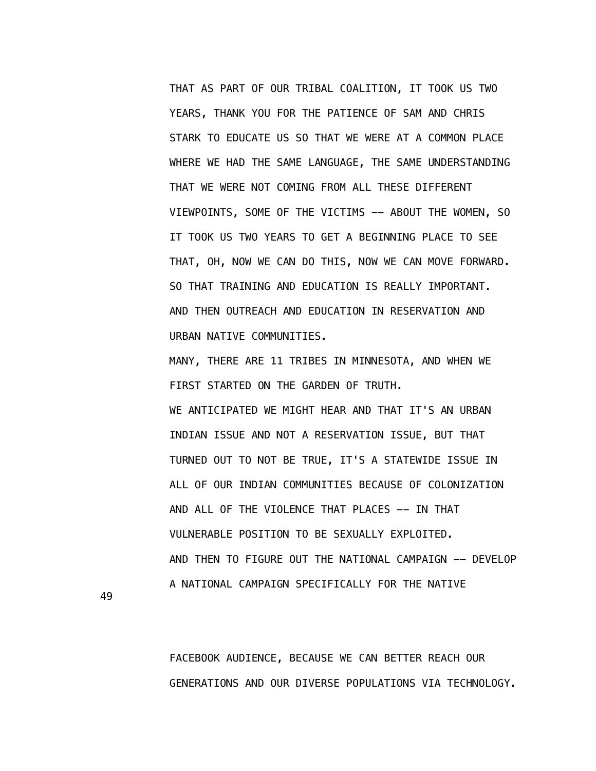THAT AS PART OF OUR TRIBAL COALITION, IT TOOK US TWO YEARS, THANK YOU FOR THE PATIENCE OF SAM AND CHRIS STARK TO EDUCATE US SO THAT WE WERE AT A COMMON PLACE WHERE WE HAD THE SAME LANGUAGE, THE SAME UNDERSTANDING THAT WE WERE NOT COMING FROM ALL THESE DIFFERENT VIEWPOINTS, SOME OF THE VICTIMS -- ABOUT THE WOMEN, SO IT TOOK US TWO YEARS TO GET A BEGINNING PLACE TO SEE THAT, OH, NOW WE CAN DO THIS, NOW WE CAN MOVE FORWARD. SO THAT TRAINING AND EDUCATION IS REALLY IMPORTANT. AND THEN OUTREACH AND EDUCATION IN RESERVATION AND URBAN NATIVE COMMUNITIES.

 MANY, THERE ARE 11 TRIBES IN MINNESOTA, AND WHEN WE FIRST STARTED ON THE GARDEN OF TRUTH. WE ANTICIPATED WE MIGHT HEAR AND THAT IT'S AN URBAN INDIAN ISSUE AND NOT A RESERVATION ISSUE, BUT THAT TURNED OUT TO NOT BE TRUE, IT'S A STATEWIDE ISSUE IN ALL OF OUR INDIAN COMMUNITIES BECAUSE OF COLONIZATION AND ALL OF THE VIOLENCE THAT PLACES -- IN THAT VULNERABLE POSITION TO BE SEXUALLY EXPLOITED. AND THEN TO FIGURE OUT THE NATIONAL CAMPAIGN -- DEVELOP A NATIONAL CAMPAIGN SPECIFICALLY FOR THE NATIVE

49

 FACEBOOK AUDIENCE, BECAUSE WE CAN BETTER REACH OUR GENERATIONS AND OUR DIVERSE POPULATIONS VIA TECHNOLOGY.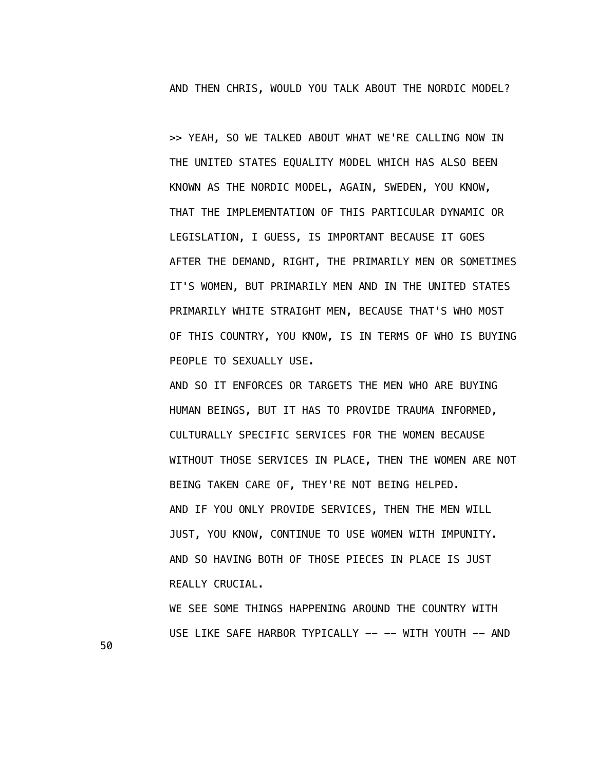AND THEN CHRIS, WOULD YOU TALK ABOUT THE NORDIC MODEL?

 >> YEAH, SO WE TALKED ABOUT WHAT WE'RE CALLING NOW IN THE UNITED STATES EQUALITY MODEL WHICH HAS ALSO BEEN KNOWN AS THE NORDIC MODEL, AGAIN, SWEDEN, YOU KNOW, THAT THE IMPLEMENTATION OF THIS PARTICULAR DYNAMIC OR LEGISLATION, I GUESS, IS IMPORTANT BECAUSE IT GOES AFTER THE DEMAND, RIGHT, THE PRIMARILY MEN OR SOMETIMES IT'S WOMEN, BUT PRIMARILY MEN AND IN THE UNITED STATES PRIMARILY WHITE STRAIGHT MEN, BECAUSE THAT'S WHO MOST OF THIS COUNTRY, YOU KNOW, IS IN TERMS OF WHO IS BUYING PEOPLE TO SEXUALLY USE.

 AND SO IT ENFORCES OR TARGETS THE MEN WHO ARE BUYING HUMAN BEINGS, BUT IT HAS TO PROVIDE TRAUMA INFORMED, CULTURALLY SPECIFIC SERVICES FOR THE WOMEN BECAUSE WITHOUT THOSE SERVICES IN PLACE, THEN THE WOMEN ARE NOT BEING TAKEN CARE OF, THEY'RE NOT BEING HELPED. AND IF YOU ONLY PROVIDE SERVICES, THEN THE MEN WILL JUST, YOU KNOW, CONTINUE TO USE WOMEN WITH IMPUNITY. AND SO HAVING BOTH OF THOSE PIECES IN PLACE IS JUST REALLY CRUCIAL.

 WE SEE SOME THINGS HAPPENING AROUND THE COUNTRY WITH USE LIKE SAFE HARBOR TYPICALLY -- -- WITH YOUTH -- AND

50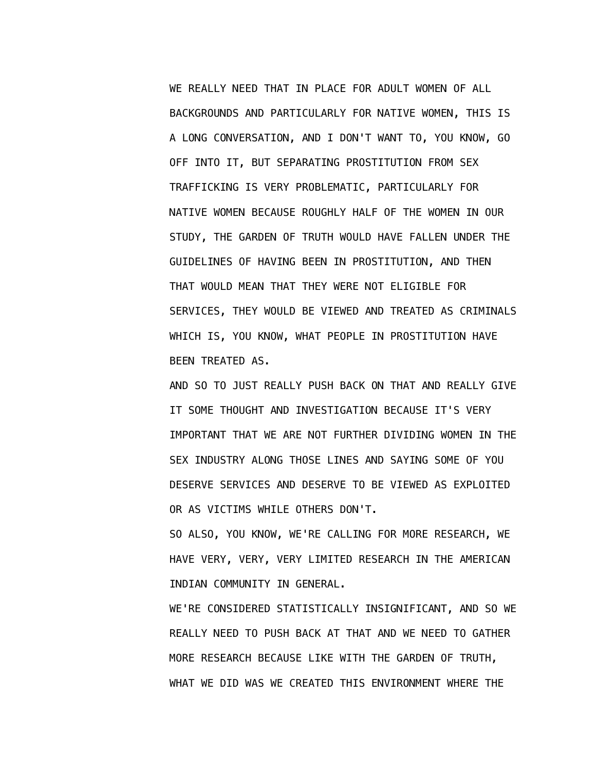WE REALLY NEED THAT IN PLACE FOR ADULT WOMEN OF ALL BACKGROUNDS AND PARTICULARLY FOR NATIVE WOMEN, THIS IS A LONG CONVERSATION, AND I DON'T WANT TO, YOU KNOW, GO OFF INTO IT, BUT SEPARATING PROSTITUTION FROM SEX TRAFFICKING IS VERY PROBLEMATIC, PARTICULARLY FOR NATIVE WOMEN BECAUSE ROUGHLY HALF OF THE WOMEN IN OUR STUDY, THE GARDEN OF TRUTH WOULD HAVE FALLEN UNDER THE GUIDELINES OF HAVING BEEN IN PROSTITUTION, AND THEN THAT WOULD MEAN THAT THEY WERE NOT ELIGIBLE FOR SERVICES, THEY WOULD BE VIEWED AND TREATED AS CRIMINALS WHICH IS, YOU KNOW, WHAT PEOPLE IN PROSTITUTION HAVE BEEN TREATED AS.

 AND SO TO JUST REALLY PUSH BACK ON THAT AND REALLY GIVE IT SOME THOUGHT AND INVESTIGATION BECAUSE IT'S VERY IMPORTANT THAT WE ARE NOT FURTHER DIVIDING WOMEN IN THE SEX INDUSTRY ALONG THOSE LINES AND SAYING SOME OF YOU DESERVE SERVICES AND DESERVE TO BE VIEWED AS EXPLOITED OR AS VICTIMS WHILE OTHERS DON'T.

 SO ALSO, YOU KNOW, WE'RE CALLING FOR MORE RESEARCH, WE HAVE VERY, VERY, VERY LIMITED RESEARCH IN THE AMERICAN INDIAN COMMUNITY IN GENERAL.

 WE'RE CONSIDERED STATISTICALLY INSIGNIFICANT, AND SO WE REALLY NEED TO PUSH BACK AT THAT AND WE NEED TO GATHER MORE RESEARCH BECAUSE LIKE WITH THE GARDEN OF TRUTH, WHAT WE DID WAS WE CREATED THIS ENVIRONMENT WHERE THE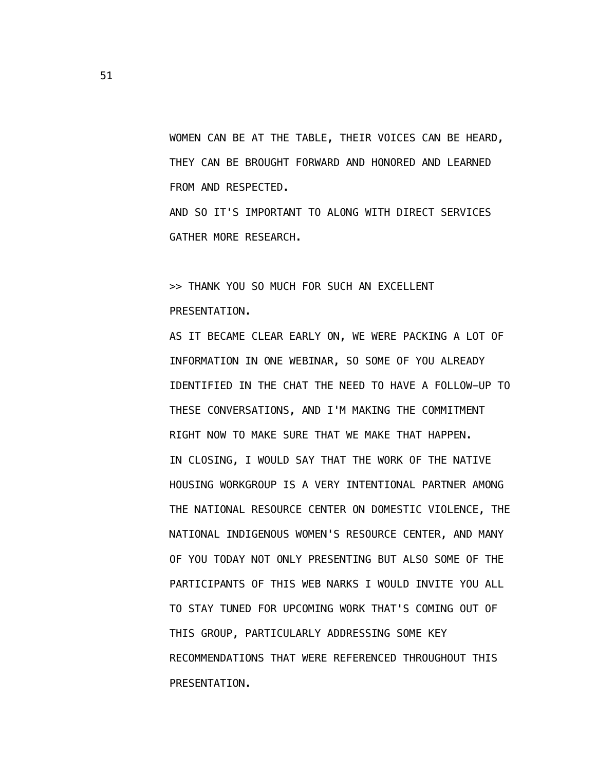WOMEN CAN BE AT THE TABLE, THEIR VOICES CAN BE HEARD, THEY CAN BE BROUGHT FORWARD AND HONORED AND LEARNED FROM AND RESPECTED.

 AND SO IT'S IMPORTANT TO ALONG WITH DIRECT SERVICES GATHER MORE RESEARCH.

 >> THANK YOU SO MUCH FOR SUCH AN EXCELLENT PRESENTATION.

 AS IT BECAME CLEAR EARLY ON, WE WERE PACKING A LOT OF INFORMATION IN ONE WEBINAR, SO SOME OF YOU ALREADY IDENTIFIED IN THE CHAT THE NEED TO HAVE A FOLLOW-UP TO THESE CONVERSATIONS, AND I'M MAKING THE COMMITMENT RIGHT NOW TO MAKE SURE THAT WE MAKE THAT HAPPEN. IN CLOSING, I WOULD SAY THAT THE WORK OF THE NATIVE HOUSING WORKGROUP IS A VERY INTENTIONAL PARTNER AMONG THE NATIONAL RESOURCE CENTER ON DOMESTIC VIOLENCE, THE NATIONAL INDIGENOUS WOMEN'S RESOURCE CENTER, AND MANY OF YOU TODAY NOT ONLY PRESENTING BUT ALSO SOME OF THE PARTICIPANTS OF THIS WEB NARKS I WOULD INVITE YOU ALL TO STAY TUNED FOR UPCOMING WORK THAT'S COMING OUT OF THIS GROUP, PARTICULARLY ADDRESSING SOME KEY RECOMMENDATIONS THAT WERE REFERENCED THROUGHOUT THIS PRESENTATION.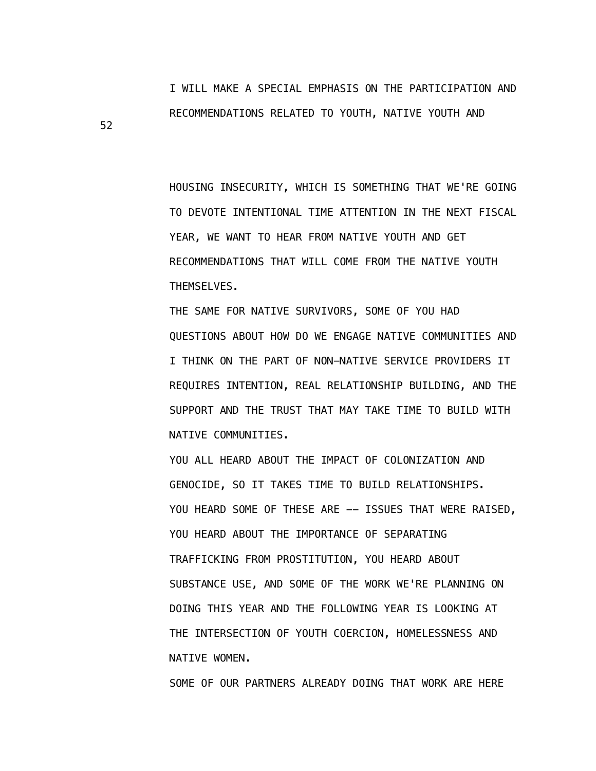I WILL MAKE A SPECIAL EMPHASIS ON THE PARTICIPATION AND RECOMMENDATIONS RELATED TO YOUTH, NATIVE YOUTH AND

 HOUSING INSECURITY, WHICH IS SOMETHING THAT WE'RE GOING TO DEVOTE INTENTIONAL TIME ATTENTION IN THE NEXT FISCAL YEAR, WE WANT TO HEAR FROM NATIVE YOUTH AND GET RECOMMENDATIONS THAT WILL COME FROM THE NATIVE YOUTH THEMSELVES.

 THE SAME FOR NATIVE SURVIVORS, SOME OF YOU HAD QUESTIONS ABOUT HOW DO WE ENGAGE NATIVE COMMUNITIES AND I THINK ON THE PART OF NON-NATIVE SERVICE PROVIDERS IT REQUIRES INTENTION, REAL RELATIONSHIP BUILDING, AND THE SUPPORT AND THE TRUST THAT MAY TAKE TIME TO BUILD WITH NATIVE COMMUNITIES.

 YOU ALL HEARD ABOUT THE IMPACT OF COLONIZATION AND GENOCIDE, SO IT TAKES TIME TO BUILD RELATIONSHIPS. YOU HEARD SOME OF THESE ARE -- ISSUES THAT WERE RAISED, YOU HEARD ABOUT THE IMPORTANCE OF SEPARATING TRAFFICKING FROM PROSTITUTION, YOU HEARD ABOUT SUBSTANCE USE, AND SOME OF THE WORK WE'RE PLANNING ON DOING THIS YEAR AND THE FOLLOWING YEAR IS LOOKING AT THE INTERSECTION OF YOUTH COERCION, HOMELESSNESS AND NATIVE WOMEN.

SOME OF OUR PARTNERS ALREADY DOING THAT WORK ARE HERE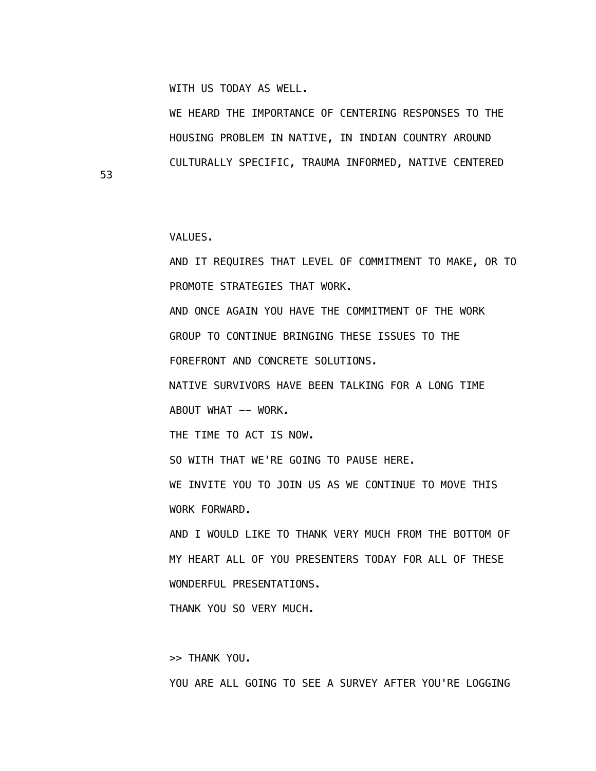WITH US TODAY AS WELL.

 WE HEARD THE IMPORTANCE OF CENTERING RESPONSES TO THE HOUSING PROBLEM IN NATIVE, IN INDIAN COUNTRY AROUND CULTURALLY SPECIFIC, TRAUMA INFORMED, NATIVE CENTERED

VALUES.

53

 AND IT REQUIRES THAT LEVEL OF COMMITMENT TO MAKE, OR TO PROMOTE STRATEGIES THAT WORK. AND ONCE AGAIN YOU HAVE THE COMMITMENT OF THE WORK GROUP TO CONTINUE BRINGING THESE ISSUES TO THE FOREFRONT AND CONCRETE SOLUTIONS. NATIVE SURVIVORS HAVE BEEN TALKING FOR A LONG TIME ABOUT WHAT -- WORK. THE TIME TO ACT IS NOW. SO WITH THAT WE'RE GOING TO PAUSE HERE. WE INVITE YOU TO JOIN US AS WE CONTINUE TO MOVE THIS WORK FORWARD. AND I WOULD LIKE TO THANK VERY MUCH FROM THE BOTTOM OF MY HEART ALL OF YOU PRESENTERS TODAY FOR ALL OF THESE WONDERFUL PRESENTATIONS. THANK YOU SO VERY MUCH.

>> THANK YOU.

YOU ARE ALL GOING TO SEE A SURVEY AFTER YOU'RE LOGGING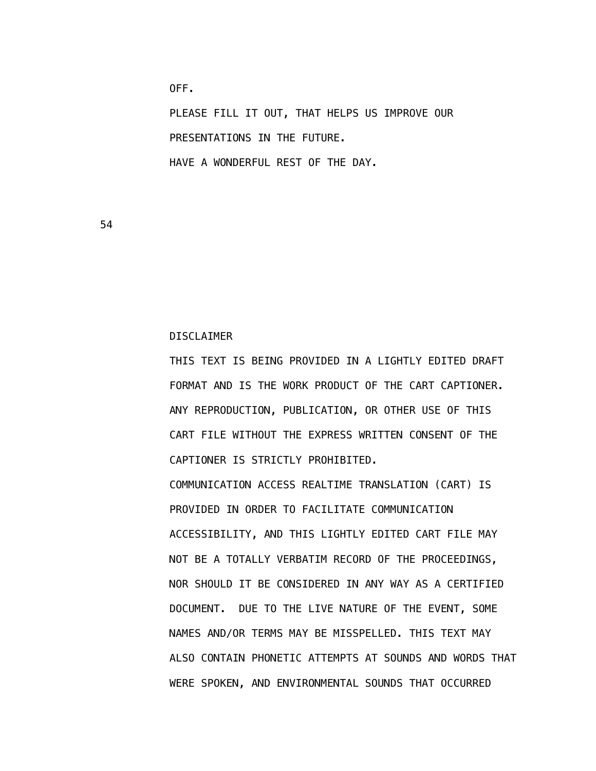PLEASE FILL IT OUT, THAT HELPS US IMPROVE OUR PRESENTATIONS IN THE FUTURE. HAVE A WONDERFUL REST OF THE DAY.

54

DISCLAIMER

OFF.

 THIS TEXT IS BEING PROVIDED IN A LIGHTLY EDITED DRAFT FORMAT AND IS THE WORK PRODUCT OF THE CART CAPTIONER. ANY REPRODUCTION, PUBLICATION, OR OTHER USE OF THIS CART FILE WITHOUT THE EXPRESS WRITTEN CONSENT OF THE CAPTIONER IS STRICTLY PROHIBITED.

 COMMUNICATION ACCESS REALTIME TRANSLATION (CART) IS PROVIDED IN ORDER TO FACILITATE COMMUNICATION ACCESSIBILITY, AND THIS LIGHTLY EDITED CART FILE MAY NOT BE A TOTALLY VERBATIM RECORD OF THE PROCEEDINGS, NOR SHOULD IT BE CONSIDERED IN ANY WAY AS A CERTIFIED DOCUMENT. DUE TO THE LIVE NATURE OF THE EVENT, SOME NAMES AND/OR TERMS MAY BE MISSPELLED. THIS TEXT MAY ALSO CONTAIN PHONETIC ATTEMPTS AT SOUNDS AND WORDS THAT WERE SPOKEN, AND ENVIRONMENTAL SOUNDS THAT OCCURRED